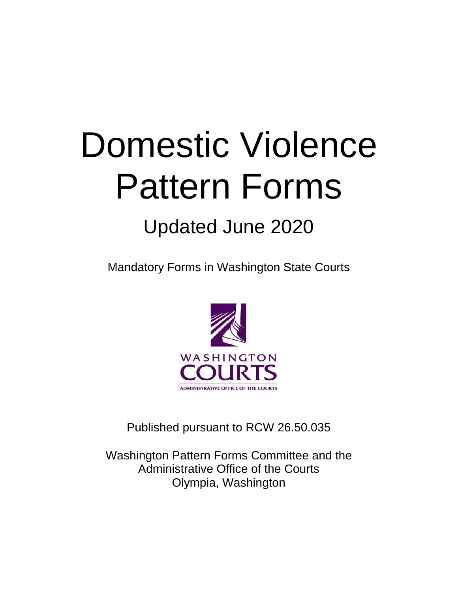# Domestic Violence Pattern Forms

# Updated June 2020

Mandatory Forms in Washington State Courts



Published pursuant to RCW 26.50.035

Washington Pattern Forms Committee and the Administrative Office of the Courts Olympia, Washington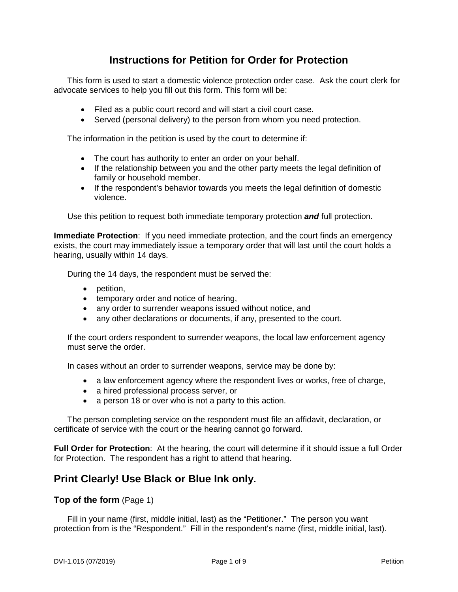# **Instructions for Petition for Order for Protection**

This form is used to start a domestic violence protection order case. Ask the court clerk for advocate services to help you fill out this form. This form will be:

- Filed as a public court record and will start a civil court case.
- Served (personal delivery) to the person from whom you need protection.

The information in the petition is used by the court to determine if:

- The court has authority to enter an order on your behalf.
- If the relationship between you and the other party meets the legal definition of family or household member.
- If the respondent's behavior towards you meets the legal definition of domestic violence.

Use this petition to request both immediate temporary protection *and* full protection.

**Immediate Protection**: If you need immediate protection, and the court finds an emergency exists, the court may immediately issue a temporary order that will last until the court holds a hearing, usually within 14 days.

During the 14 days, the respondent must be served the:

- petition,
- temporary order and notice of hearing,
- any order to surrender weapons issued without notice, and
- any other declarations or documents, if any, presented to the court.

If the court orders respondent to surrender weapons, the local law enforcement agency must serve the order.

In cases without an order to surrender weapons, service may be done by:

- a law enforcement agency where the respondent lives or works, free of charge,
- a hired professional process server, or
- a person 18 or over who is not a party to this action.

The person completing service on the respondent must file an affidavit, declaration, or certificate of service with the court or the hearing cannot go forward.

**Full Order for Protection**: At the hearing, the court will determine if it should issue a full Order for Protection. The respondent has a right to attend that hearing.

# **Print Clearly! Use Black or Blue Ink only.**

#### **Top of the form** (Page 1)

Fill in your name (first, middle initial, last) as the "Petitioner." The person you want protection from is the "Respondent." Fill in the respondent's name (first, middle initial, last).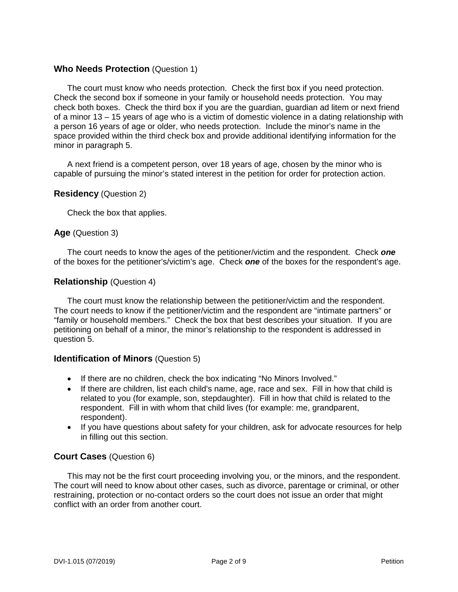# **Who Needs Protection** (Question 1)

The court must know who needs protection. Check the first box if you need protection. Check the second box if someone in your family or household needs protection. You may check both boxes. Check the third box if you are the guardian, guardian ad litem or next friend of a minor 13 – 15 years of age who is a victim of domestic violence in a dating relationship with a person 16 years of age or older, who needs protection. Include the minor's name in the space provided within the third check box and provide additional identifying information for the minor in paragraph 5.

A next friend is a competent person, over 18 years of age, chosen by the minor who is capable of pursuing the minor's stated interest in the petition for order for protection action.

#### **Residency** (Question 2)

Check the box that applies.

#### **Age** (Question 3)

The court needs to know the ages of the petitioner/victim and the respondent. Check *one* of the boxes for the petitioner's/victim's age. Check *one* of the boxes for the respondent's age.

# **Relationship** (Question 4)

The court must know the relationship between the petitioner/victim and the respondent. The court needs to know if the petitioner/victim and the respondent are "intimate partners" or "family or household members." Check the box that best describes your situation. If you are petitioning on behalf of a minor, the minor's relationship to the respondent is addressed in question 5.

#### **Identification of Minors** (Question 5)

- If there are no children, check the box indicating "No Minors Involved."
- If there are children, list each child's name, age, race and sex. Fill in how that child is related to you (for example, son, stepdaughter). Fill in how that child is related to the respondent. Fill in with whom that child lives (for example: me, grandparent, respondent).
- If you have questions about safety for your children, ask for advocate resources for help in filling out this section.

# **Court Cases** (Question 6)

This may not be the first court proceeding involving you, or the minors, and the respondent. The court will need to know about other cases, such as divorce, parentage or criminal, or other restraining, protection or no-contact orders so the court does not issue an order that might conflict with an order from another court.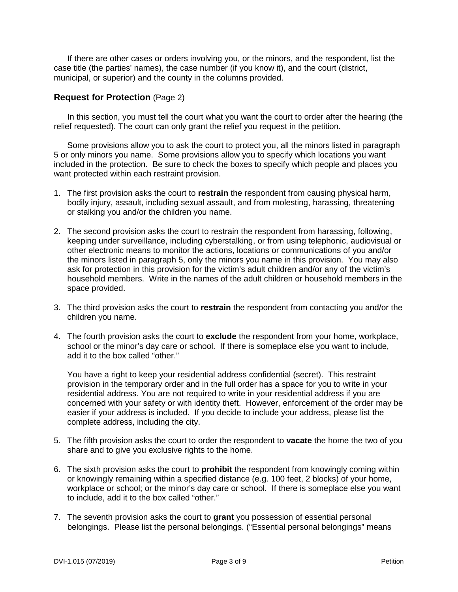If there are other cases or orders involving you, or the minors, and the respondent, list the case title (the parties' names), the case number (if you know it), and the court (district, municipal, or superior) and the county in the columns provided.

# **Request for Protection** (Page 2)

In this section, you must tell the court what you want the court to order after the hearing (the relief requested). The court can only grant the relief you request in the petition.

Some provisions allow you to ask the court to protect you, all the minors listed in paragraph 5 or only minors you name. Some provisions allow you to specify which locations you want included in the protection. Be sure to check the boxes to specify which people and places you want protected within each restraint provision.

- 1. The first provision asks the court to **restrain** the respondent from causing physical harm, bodily injury, assault, including sexual assault, and from molesting, harassing, threatening or stalking you and/or the children you name.
- 2. The second provision asks the court to restrain the respondent from harassing, following, keeping under surveillance, including cyberstalking, or from using telephonic, audiovisual or other electronic means to monitor the actions, locations or communications of you and/or the minors listed in paragraph 5, only the minors you name in this provision. You may also ask for protection in this provision for the victim's adult children and/or any of the victim's household members. Write in the names of the adult children or household members in the space provided.
- 3. The third provision asks the court to **restrain** the respondent from contacting you and/or the children you name.
- 4. The fourth provision asks the court to **exclude** the respondent from your home, workplace, school or the minor's day care or school. If there is someplace else you want to include, add it to the box called "other."

You have a right to keep your residential address confidential (secret). This restraint provision in the temporary order and in the full order has a space for you to write in your residential address. You are not required to write in your residential address if you are concerned with your safety or with identity theft. However, enforcement of the order may be easier if your address is included. If you decide to include your address, please list the complete address, including the city.

- 5. The fifth provision asks the court to order the respondent to **vacate** the home the two of you share and to give you exclusive rights to the home.
- 6. The sixth provision asks the court to **prohibit** the respondent from knowingly coming within or knowingly remaining within a specified distance (e.g. 100 feet, 2 blocks) of your home, workplace or school; or the minor's day care or school. If there is someplace else you want to include, add it to the box called "other."
- 7. The seventh provision asks the court to **grant** you possession of essential personal belongings. Please list the personal belongings. ("Essential personal belongings" means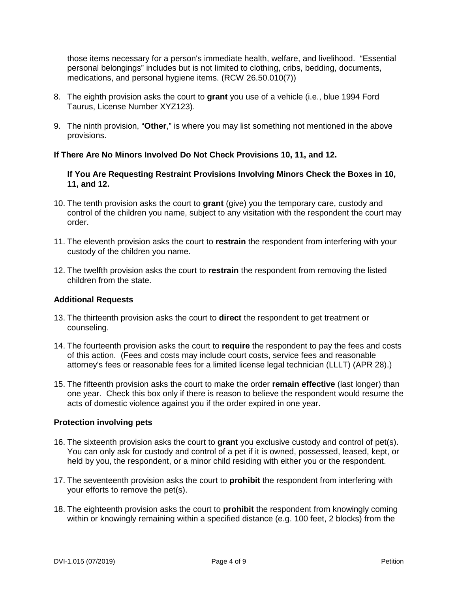those items necessary for a person's immediate health, welfare, and livelihood. "Essential personal belongings" includes but is not limited to clothing, cribs, bedding, documents, medications, and personal hygiene items. (RCW 26.50.010(7))

- 8. The eighth provision asks the court to **grant** you use of a vehicle (i.e., blue 1994 Ford Taurus, License Number XYZ123).
- 9. The ninth provision, "**Other**," is where you may list something not mentioned in the above provisions.

# **If There Are No Minors Involved Do Not Check Provisions 10, 11, and 12.**

#### **If You Are Requesting Restraint Provisions Involving Minors Check the Boxes in 10, 11, and 12.**

- 10. The tenth provision asks the court to **grant** (give) you the temporary care, custody and control of the children you name, subject to any visitation with the respondent the court may order.
- 11. The eleventh provision asks the court to **restrain** the respondent from interfering with your custody of the children you name.
- 12. The twelfth provision asks the court to **restrain** the respondent from removing the listed children from the state.

#### **Additional Requests**

- 13. The thirteenth provision asks the court to **direct** the respondent to get treatment or counseling.
- 14. The fourteenth provision asks the court to **require** the respondent to pay the fees and costs of this action. (Fees and costs may include court costs, service fees and reasonable attorney's fees or reasonable fees for a limited license legal technician (LLLT) (APR 28).)
- 15. The fifteenth provision asks the court to make the order **remain effective** (last longer) than one year. Check this box only if there is reason to believe the respondent would resume the acts of domestic violence against you if the order expired in one year.

#### **Protection involving pets**

- 16. The sixteenth provision asks the court to **grant** you exclusive custody and control of pet(s). You can only ask for custody and control of a pet if it is owned, possessed, leased, kept, or held by you, the respondent, or a minor child residing with either you or the respondent.
- 17. The seventeenth provision asks the court to **prohibit** the respondent from interfering with your efforts to remove the pet(s).
- 18. The eighteenth provision asks the court to **prohibit** the respondent from knowingly coming within or knowingly remaining within a specified distance (e.g. 100 feet, 2 blocks) from the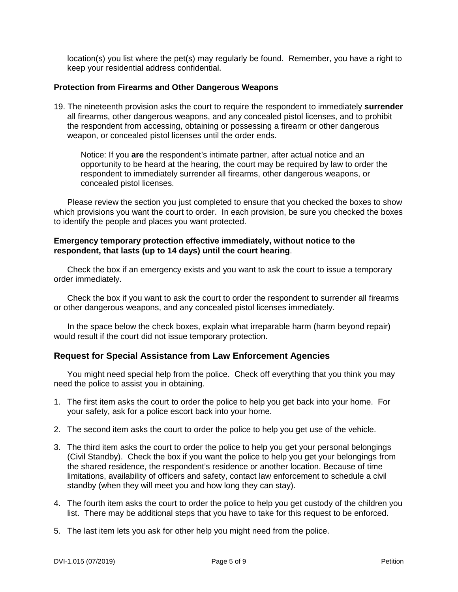location(s) you list where the pet(s) may regularly be found. Remember, you have a right to keep your residential address confidential.

#### **Protection from Firearms and Other Dangerous Weapons**

19. The nineteenth provision asks the court to require the respondent to immediately **surrender**  all firearms, other dangerous weapons, and any concealed pistol licenses, and to prohibit the respondent from accessing, obtaining or possessing a firearm or other dangerous weapon, or concealed pistol licenses until the order ends.

Notice: If you **are** the respondent's intimate partner, after actual notice and an opportunity to be heard at the hearing, the court may be required by law to order the respondent to immediately surrender all firearms, other dangerous weapons, or concealed pistol licenses.

Please review the section you just completed to ensure that you checked the boxes to show which provisions you want the court to order. In each provision, be sure you checked the boxes to identify the people and places you want protected.

#### **Emergency temporary protection effective immediately, without notice to the respondent, that lasts (up to 14 days) until the court hearing**.

Check the box if an emergency exists and you want to ask the court to issue a temporary order immediately.

Check the box if you want to ask the court to order the respondent to surrender all firearms or other dangerous weapons, and any concealed pistol licenses immediately.

In the space below the check boxes, explain what irreparable harm (harm beyond repair) would result if the court did not issue temporary protection.

# **Request for Special Assistance from Law Enforcement Agencies**

You might need special help from the police. Check off everything that you think you may need the police to assist you in obtaining.

- 1. The first item asks the court to order the police to help you get back into your home. For your safety, ask for a police escort back into your home.
- 2. The second item asks the court to order the police to help you get use of the vehicle.
- 3. The third item asks the court to order the police to help you get your personal belongings (Civil Standby). Check the box if you want the police to help you get your belongings from the shared residence, the respondent's residence or another location. Because of time limitations, availability of officers and safety, contact law enforcement to schedule a civil standby (when they will meet you and how long they can stay).
- 4. The fourth item asks the court to order the police to help you get custody of the children you list. There may be additional steps that you have to take for this request to be enforced.
- 5. The last item lets you ask for other help you might need from the police.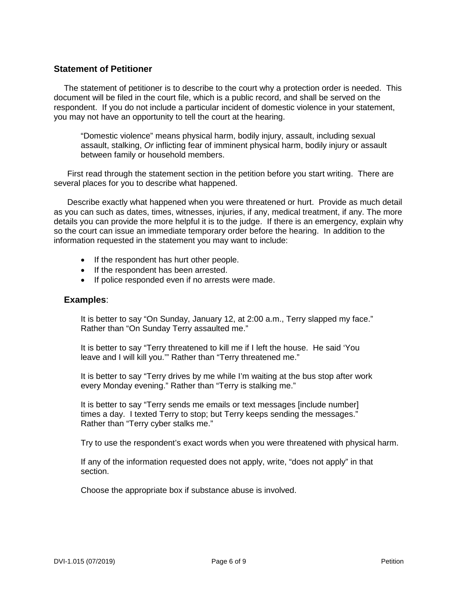# **Statement of Petitioner**

The statement of petitioner is to describe to the court why a protection order is needed. This document will be filed in the court file, which is a public record, and shall be served on the respondent. If you do not include a particular incident of domestic violence in your statement, you may not have an opportunity to tell the court at the hearing.

"Domestic violence" means physical harm, bodily injury, assault, including sexual assault, stalking, *Or* inflicting fear of imminent physical harm, bodily injury or assault between family or household members.

First read through the statement section in the petition before you start writing. There are several places for you to describe what happened.

Describe exactly what happened when you were threatened or hurt. Provide as much detail as you can such as dates, times, witnesses, injuries, if any, medical treatment, if any. The more details you can provide the more helpful it is to the judge. If there is an emergency, explain why so the court can issue an immediate temporary order before the hearing. In addition to the information requested in the statement you may want to include:

- If the respondent has hurt other people.
- If the respondent has been arrested.
- If police responded even if no arrests were made.

#### **Examples**:

It is better to say "On Sunday, January 12, at 2:00 a.m., Terry slapped my face." Rather than "On Sunday Terry assaulted me."

It is better to say "Terry threatened to kill me if I left the house. He said 'You leave and I will kill you."" Rather than "Terry threatened me."

It is better to say "Terry drives by me while I'm waiting at the bus stop after work every Monday evening." Rather than "Terry is stalking me."

It is better to say "Terry sends me emails or text messages [include number] times a day. I texted Terry to stop; but Terry keeps sending the messages." Rather than "Terry cyber stalks me."

Try to use the respondent's exact words when you were threatened with physical harm.

If any of the information requested does not apply, write, "does not apply" in that section.

Choose the appropriate box if substance abuse is involved.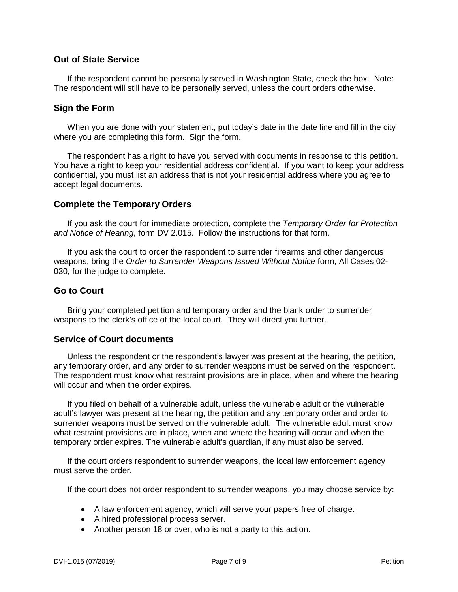# **Out of State Service**

If the respondent cannot be personally served in Washington State, check the box. Note: The respondent will still have to be personally served, unless the court orders otherwise.

# **Sign the Form**

When you are done with your statement, put today's date in the date line and fill in the city where you are completing this form. Sign the form.

The respondent has a right to have you served with documents in response to this petition. You have a right to keep your residential address confidential. If you want to keep your address confidential, you must list an address that is not your residential address where you agree to accept legal documents.

#### **Complete the Temporary Orders**

If you ask the court for immediate protection, complete the *Temporary Order for Protection and Notice of Hearing*, form DV 2.015. Follow the instructions for that form.

If you ask the court to order the respondent to surrender firearms and other dangerous weapons, bring the *Order to Surrender Weapons Issued Without Notice* form, All Cases 02- 030, for the judge to complete.

#### **Go to Court**

Bring your completed petition and temporary order and the blank order to surrender weapons to the clerk's office of the local court. They will direct you further.

#### **Service of Court documents**

Unless the respondent or the respondent's lawyer was present at the hearing, the petition, any temporary order, and any order to surrender weapons must be served on the respondent. The respondent must know what restraint provisions are in place, when and where the hearing will occur and when the order expires.

If you filed on behalf of a vulnerable adult, unless the vulnerable adult or the vulnerable adult's lawyer was present at the hearing, the petition and any temporary order and order to surrender weapons must be served on the vulnerable adult. The vulnerable adult must know what restraint provisions are in place, when and where the hearing will occur and when the temporary order expires. The vulnerable adult's guardian, if any must also be served.

If the court orders respondent to surrender weapons, the local law enforcement agency must serve the order.

If the court does not order respondent to surrender weapons, you may choose service by:

- A law enforcement agency, which will serve your papers free of charge.
- A hired professional process server.
- Another person 18 or over, who is not a party to this action.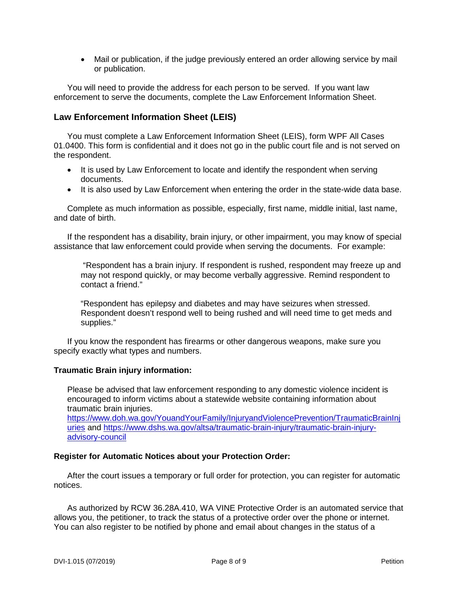• Mail or publication, if the judge previously entered an order allowing service by mail or publication.

You will need to provide the address for each person to be served. If you want law enforcement to serve the documents, complete the Law Enforcement Information Sheet.

# **Law Enforcement Information Sheet (LEIS)**

You must complete a Law Enforcement Information Sheet (LEIS), form WPF All Cases 01.0400. This form is confidential and it does not go in the public court file and is not served on the respondent.

- It is used by Law Enforcement to locate and identify the respondent when serving documents.
- It is also used by Law Enforcement when entering the order in the state-wide data base.

Complete as much information as possible, especially, first name, middle initial, last name, and date of birth.

If the respondent has a disability, brain injury, or other impairment, you may know of special assistance that law enforcement could provide when serving the documents. For example:

"Respondent has a brain injury. If respondent is rushed, respondent may freeze up and may not respond quickly, or may become verbally aggressive. Remind respondent to contact a friend."

"Respondent has epilepsy and diabetes and may have seizures when stressed. Respondent doesn't respond well to being rushed and will need time to get meds and supplies."

If you know the respondent has firearms or other dangerous weapons, make sure you specify exactly what types and numbers.

#### **Traumatic Brain injury information:**

Please be advised that law enforcement responding to any domestic violence incident is encouraged to inform victims about a statewide website containing information about traumatic brain injuries.

[https://www.doh.wa.gov/YouandYourFamily/InjuryandViolencePrevention/TraumaticBrainInj](https://www.doh.wa.gov/YouandYourFamily/InjuryandViolencePrevention/TraumaticBrainInjuries) [uries](https://www.doh.wa.gov/YouandYourFamily/InjuryandViolencePrevention/TraumaticBrainInjuries) and [https://www.dshs.wa.gov/altsa/traumatic-brain-injury/traumatic-brain-injury](https://www.dshs.wa.gov/altsa/traumatic-brain-injury/traumatic-brain-injury-advisory-council)[advisory-council](https://www.dshs.wa.gov/altsa/traumatic-brain-injury/traumatic-brain-injury-advisory-council)

#### **Register for Automatic Notices about your Protection Order:**

After the court issues a temporary or full order for protection, you can register for automatic notices.

As authorized by RCW 36.28A.410, WA VINE Protective Order is an automated service that allows you, the petitioner, to track the status of a protective order over the phone or internet. You can also register to be notified by phone and email about changes in the status of a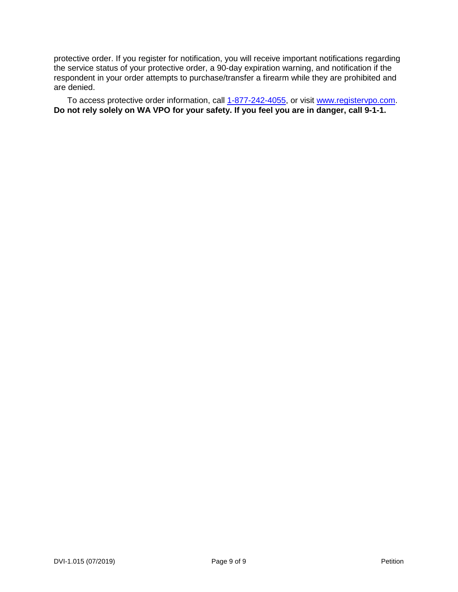protective order. If you register for notification, you will receive important notifications regarding the service status of your protective order, a 90-day expiration warning, and notification if the respondent in your order attempts to purchase/transfer a firearm while they are prohibited and are denied.

To access protective order information, call  $1-877-242-4055$ , or visit [www.registervpo.com.](http://www.registervpo.com/) **Do not rely solely on WA VPO for your safety. If you feel you are in danger, call 9-1-1.**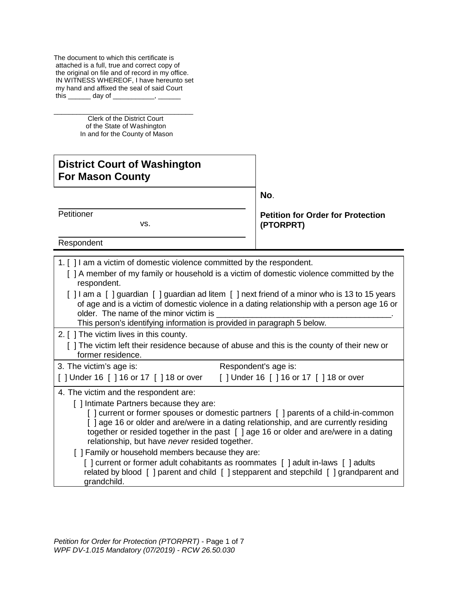The document to which this certificate is attached is a full, true and correct copy of the original on file and of record in my office. IN WITNESS WHEREOF, I have hereunto set my hand and affixed the seal of said Court this day of

\_\_\_\_\_\_\_\_\_\_\_\_\_\_\_\_\_\_\_\_\_\_\_\_\_\_\_\_\_\_\_\_\_\_\_\_\_ Clerk of the District Court of the State of Washington In and for the County of Mason

# **District Court of Washington For Mason County**

**No**.

**Petitioner** 

vs. The contract of the visit of the visit of the visit of the visit of the visit of the visit of the visit of the v

**Petition for Order for Protection (PTORPRT)**

Respondent

- 1. [ ] I am a victim of domestic violence committed by the respondent.
	- [ ] A member of my family or household is a victim of domestic violence committed by the respondent.
	- [ ] I am a [ ] guardian [ ] guardian ad litem [ ] next friend of a minor who is 13 to 15 years of age and is a victim of domestic violence in a dating relationship with a person age 16 or older. The name of the minor victim is

This person's identifying information is provided in paragraph 5 below.

- 2. [ ] The victim lives in this county.
	- [ ] The victim left their residence because of abuse and this is the county of their new or former residence.

| 3. The victim's age is:               | Respondent's age is:                  |  |  |  |
|---------------------------------------|---------------------------------------|--|--|--|
| [] Under 16 [] 16 or 17 [] 18 or over | [] Under 16 [] 16 or 17 [] 18 or over |  |  |  |

- 4. The victim and the respondent are:
	- [] Intimate Partners because they are:

[] current or former spouses or domestic partners [] parents of a child-in-common [ ] age 16 or older and are/were in a dating relationship, and are currently residing together or resided together in the past [ ] age 16 or older and are/were in a dating relationship, but have *never* resided together.

[ ] Family or household members because they are:

[] current or former adult cohabitants as roommates [] adult in-laws [] adults related by blood [ ] parent and child [ ] stepparent and stepchild [ ] grandparent and grandchild.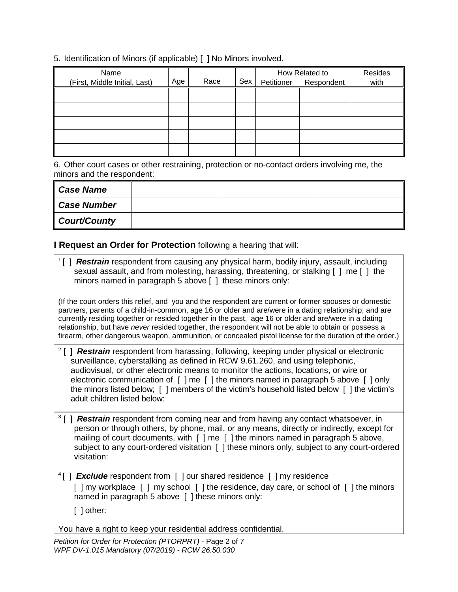# 5. Identification of Minors (if applicable) [ ] No Minors involved.

| Name                          |     |      |     | How Related to |                       | Resides |
|-------------------------------|-----|------|-----|----------------|-----------------------|---------|
| (First, Middle Initial, Last) | Age | Race | Sex |                | Petitioner Respondent | with    |
|                               |     |      |     |                |                       |         |
|                               |     |      |     |                |                       |         |
|                               |     |      |     |                |                       |         |
|                               |     |      |     |                |                       |         |
|                               |     |      |     |                |                       |         |
|                               |     |      |     |                |                       |         |
|                               |     |      |     |                |                       |         |

6. Other court cases or other restraining, protection or no-contact orders involving me, the minors and the respondent:

| <b>Case Name</b>    |  |  |
|---------------------|--|--|
| <b>Case Number</b>  |  |  |
| <b>Court/County</b> |  |  |

# **I Request an Order for Protection** following a hearing that will:

| <sup>1</sup> [] <b>Restrain</b> respondent from causing any physical harm, bodily injury, assault, including<br>sexual assault, and from molesting, harassing, threatening, or stalking [ ] me [ ] the<br>minors named in paragraph 5 above [ ] these minors only:                                                                                                                                                                                                                                                                             |
|------------------------------------------------------------------------------------------------------------------------------------------------------------------------------------------------------------------------------------------------------------------------------------------------------------------------------------------------------------------------------------------------------------------------------------------------------------------------------------------------------------------------------------------------|
| (If the court orders this relief, and you and the respondent are current or former spouses or domestic<br>partners, parents of a child-in-common, age 16 or older and are/were in a dating relationship, and are<br>currently residing together or resided together in the past, age 16 or older and are/were in a dating<br>relationship, but have never resided together, the respondent will not be able to obtain or possess a<br>firearm, other dangerous weapon, ammunition, or concealed pistol license for the duration of the order.) |
| <sup>2</sup> [] <b>Restrain</b> respondent from harassing, following, keeping under physical or electronic<br>surveillance, cyberstalking as defined in RCW 9.61.260, and using telephonic,<br>audiovisual, or other electronic means to monitor the actions, locations, or wire or<br>electronic communication of [ ] me [ ] the minors named in paragraph 5 above [ ] only<br>the minors listed below; [ ] members of the victim's household listed below [ ] the victim's<br>adult children listed below:                                   |
| <sup>3</sup> [] <b>Restrain</b> respondent from coming near and from having any contact whatsoever, in<br>person or through others, by phone, mail, or any means, directly or indirectly, except for<br>mailing of court documents, with [ ] me [ ] the minors named in paragraph 5 above,<br>subject to any court-ordered visitation [ ] these minors only, subject to any court-ordered<br>visitation:                                                                                                                                       |
| $^{4}$ [] <b>Exclude</b> respondent from [] our shared residence [] my residence<br>[] my workplace [] my school [] the residence, day care, or school of [] the minors<br>named in paragraph 5 above [ ] these minors only:<br>$[$ ] other:                                                                                                                                                                                                                                                                                                   |
| You have a right to keep your residential address confidential.                                                                                                                                                                                                                                                                                                                                                                                                                                                                                |
| Petition for Order for Protection (PTORPRT) - Page 2 of 7                                                                                                                                                                                                                                                                                                                                                                                                                                                                                      |

*WPF DV-1.015 Mandatory (07/2019) - RCW 26.50.030*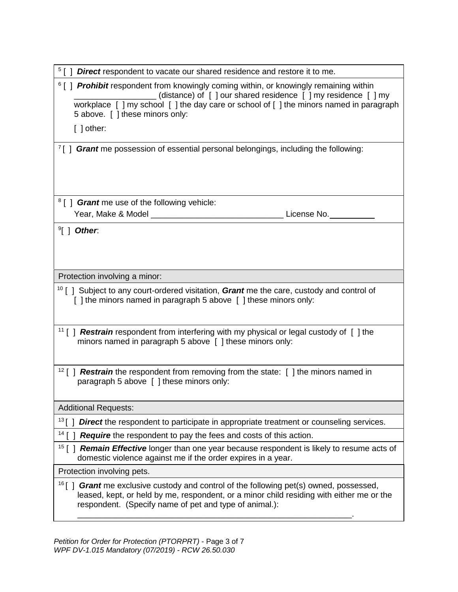| <sup>5</sup> [] <b>Direct</b> respondent to vacate our shared residence and restore it to me.                                                                                                                                                                                                   |
|-------------------------------------------------------------------------------------------------------------------------------------------------------------------------------------------------------------------------------------------------------------------------------------------------|
| <sup>6</sup> [] Prohibit respondent from knowingly coming within, or knowingly remaining within<br>(distance) of [ ] our shared residence [ ] my residence [ ] my<br>workplace [ ] my school [ ] the day care or school of [ ] the minors named in paragraph<br>5 above. [ ] these minors only: |
| $[ ]$ other:                                                                                                                                                                                                                                                                                    |
| <sup>7</sup> [] <b>Grant</b> me possession of essential personal belongings, including the following:                                                                                                                                                                                           |
| <sup>8</sup> [] <b><i>Grant</i></b> me use of the following vehicle:                                                                                                                                                                                                                            |
|                                                                                                                                                                                                                                                                                                 |
| $\mathcal{F}$   Other.                                                                                                                                                                                                                                                                          |
| Protection involving a minor:                                                                                                                                                                                                                                                                   |
| <sup>10</sup> [ ] Subject to any court-ordered visitation, Grant me the care, custody and control of<br>[ ] the minors named in paragraph 5 above [ ] these minors only:                                                                                                                        |
| <sup>11</sup> [ ] <b>Restrain</b> respondent from interfering with my physical or legal custody of [ ] the<br>minors named in paragraph 5 above [ ] these minors only:                                                                                                                          |
| $12$ [] <b>Restrain</b> the respondent from removing from the state: [] the minors named in<br>paragraph 5 above [ ] these minors only:                                                                                                                                                         |
| <b>Additional Requests:</b>                                                                                                                                                                                                                                                                     |
| 13 $\mathsf{r}$<br>Direct the respondent to participate in appropriate treatment or counseling services.                                                                                                                                                                                        |
| 14<br>Require the respondent to pay the fees and costs of this action.                                                                                                                                                                                                                          |
| Remain Effective longer than one year because respondent is likely to resume acts of<br>$15$ [ ]<br>domestic violence against me if the order expires in a year.                                                                                                                                |
| Protection involving pets.                                                                                                                                                                                                                                                                      |
| $^{16}$ [ ]<br><b>Grant</b> me exclusive custody and control of the following pet(s) owned, possessed,<br>leased, kept, or held by me, respondent, or a minor child residing with either me or the<br>respondent. (Specify name of pet and type of animal.):                                    |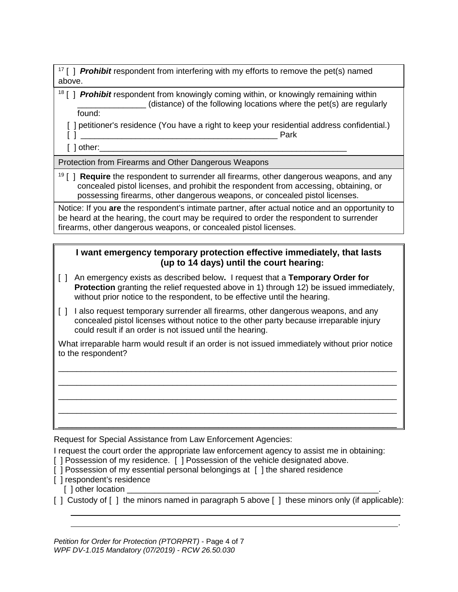<sup>17</sup> [ ] *Prohibit* respondent from interfering with my efforts to remove the pet(s) named above.

<sup>18</sup> [ ] **Prohibit** respondent from knowingly coming within, or knowingly remaining within  $_1$  (distance) of the following locations where the pet(s) are regularly found:

[ ] petitioner's residence (You have a right to keep your residential address confidential.) [ ] \_\_\_\_\_\_\_\_\_\_\_\_\_\_\_\_\_\_\_\_\_\_\_\_\_\_\_\_\_\_\_\_\_\_\_\_\_\_\_\_\_\_\_ Park

 $\lceil$  ] other:

Protection from Firearms and Other Dangerous Weapons

<sup>19</sup> [ ] **Require** the respondent to surrender all firearms, other dangerous weapons, and any concealed pistol licenses, and prohibit the respondent from accessing, obtaining, or possessing firearms, other dangerous weapons, or concealed pistol licenses.

Notice: If you **are** the respondent's intimate partner, after actual notice and an opportunity to be heard at the hearing, the court may be required to order the respondent to surrender firearms, other dangerous weapons, or concealed pistol licenses.

# **I want emergency temporary protection effective immediately, that lasts (up to 14 days) until the court hearing:**

- [ ] An emergency exists as described below**.** I request that a **Temporary Order for Protection** granting the relief requested above in 1) through 12) be issued immediately, without prior notice to the respondent, to be effective until the hearing.
- [ ] I also request temporary surrender all firearms, other dangerous weapons, and any concealed pistol licenses without notice to the other party because irreparable injury could result if an order is not issued until the hearing.

What irreparable harm would result if an order is not issued immediately without prior notice to the respondent?

\_\_\_\_\_\_\_\_\_\_\_\_\_\_\_\_\_\_\_\_\_\_\_\_\_\_\_\_\_\_\_\_\_\_\_\_\_\_\_\_\_\_\_\_\_\_\_\_\_\_\_\_\_\_\_\_\_\_\_\_\_\_\_\_\_\_\_\_\_\_\_\_\_\_ \_\_\_\_\_\_\_\_\_\_\_\_\_\_\_\_\_\_\_\_\_\_\_\_\_\_\_\_\_\_\_\_\_\_\_\_\_\_\_\_\_\_\_\_\_\_\_\_\_\_\_\_\_\_\_\_\_\_\_\_\_\_\_\_\_\_\_\_\_\_\_\_\_\_ \_\_\_\_\_\_\_\_\_\_\_\_\_\_\_\_\_\_\_\_\_\_\_\_\_\_\_\_\_\_\_\_\_\_\_\_\_\_\_\_\_\_\_\_\_\_\_\_\_\_\_\_\_\_\_\_\_\_\_\_\_\_\_\_\_\_\_\_\_\_\_\_\_\_ \_\_\_\_\_\_\_\_\_\_\_\_\_\_\_\_\_\_\_\_\_\_\_\_\_\_\_\_\_\_\_\_\_\_\_\_\_\_\_\_\_\_\_\_\_\_\_\_\_\_\_\_\_\_\_\_\_\_\_\_\_\_\_\_\_\_\_\_\_\_\_\_\_\_ \_\_\_\_\_\_\_\_\_\_\_\_\_\_\_\_\_\_\_\_\_\_\_\_\_\_\_\_\_\_\_\_\_\_\_\_\_\_\_\_\_\_\_\_\_\_\_\_\_\_\_\_\_\_\_\_\_\_\_\_\_\_\_\_\_\_\_\_\_\_\_\_\_\_

Request for Special Assistance from Law Enforcement Agencies:

I request the court order the appropriate law enforcement agency to assist me in obtaining:

- [] Possession of my residence. [] Possession of the vehicle designated above.
- [ ] Possession of my essential personal belongings at [ ] the shared residence
- $\overline{1}$  respondent's residence
	- [ ] other location
- [ ] Custody of [ ] the minors named in paragraph 5 above [ ] these minors only (if applicable):

.

*Petition for Order for Protection (PTORPRT)* - Page 4 of 7 *WPF DV-1.015 Mandatory (07/2019) - RCW 26.50.030*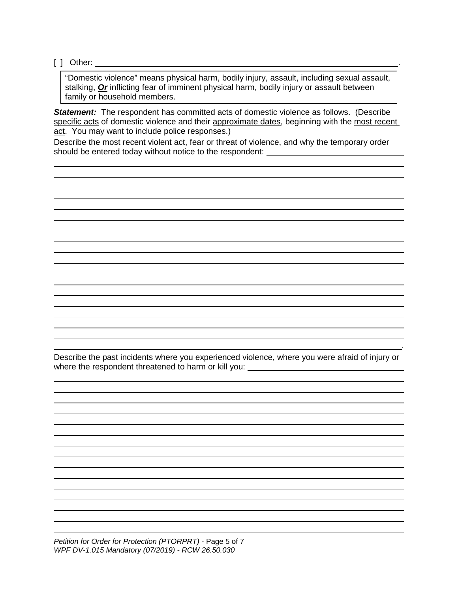[ ] Other: .

"Domestic violence" means physical harm, bodily injury, assault, including sexual assault, stalking, *Or* inflicting fear of imminent physical harm, bodily injury or assault between family or household members.

**Statement:** The respondent has committed acts of domestic violence as follows. (Describe specific acts of domestic violence and their approximate dates, beginning with the most recent act. You may want to include police responses.)

Describe the most recent violent act, fear or threat of violence, and why the temporary order should be entered today without notice to the respondent: \_\_\_\_\_\_\_\_\_\_\_\_\_\_\_\_\_\_\_\_\_\_

Describe the past incidents where you experienced violence, where you were afraid of injury or where the respondent threatened to harm or kill you: \_\_\_\_\_\_\_\_\_\_\_\_\_\_\_\_\_\_\_\_\_\_\_\_\_\_\_\_

.

*Petition for Order for Protection (PTORPRT)* - Page 5 of 7 *WPF DV-1.015 Mandatory (07/2019) - RCW 26.50.030*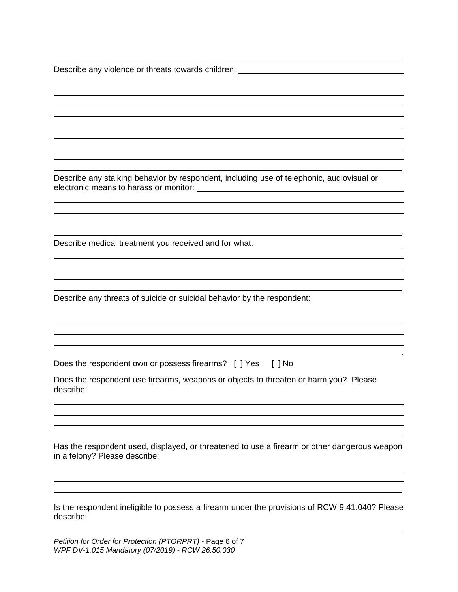Describe any violence or threats towards children: Describe any violence or threats towards children:

Describe any stalking behavior by respondent, including use of telephonic, audiovisual or electronic means to harass or monitor:

.

.

.

.

.

.

Describe medical treatment you received and for what: \_\_\_\_\_\_\_\_\_\_\_\_\_\_\_\_\_\_\_\_\_

Describe any threats of suicide or suicidal behavior by the respondent:

Does the respondent own or possess firearms? [ ] Yes [ ] No

Does the respondent use firearms, weapons or objects to threaten or harm you? Please describe:

Has the respondent used, displayed, or threatened to use a firearm or other dangerous weapon in a felony? Please describe:

Is the respondent ineligible to possess a firearm under the provisions of RCW 9.41.040? Please describe:

.

*Petition for Order for Protection (PTORPRT)* - Page 6 of 7 *WPF DV-1.015 Mandatory (07/2019) - RCW 26.50.030*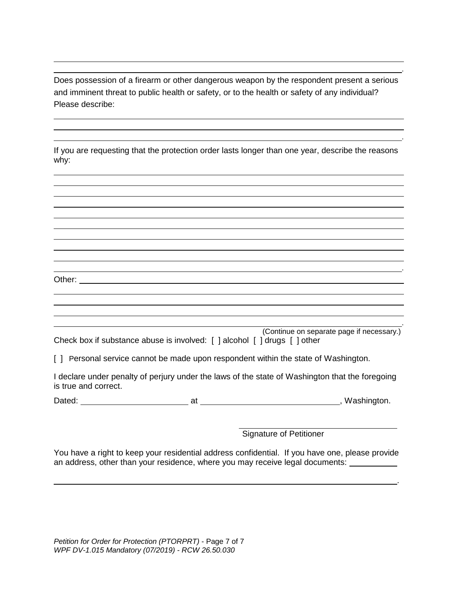Does possession of a firearm or other dangerous weapon by the respondent present a serious and imminent threat to public health or safety, or to the health or safety of any individual? Please describe:

.

.

.

.

.

| If you are requesting that the protection order lasts longer than one year, describe the reasons |  |  |  |
|--------------------------------------------------------------------------------------------------|--|--|--|
| why:                                                                                             |  |  |  |

|                                                                           | (Continue on separate page if necessary.) |
|---------------------------------------------------------------------------|-------------------------------------------|
| Check box if substance abuse is involved: [ ] alcohol [ ] drugs [ ] other |                                           |

[ ] Personal service cannot be made upon respondent within the state of Washington.

Other: **Other: Other: Other: Other: Other: Other: Other: Other: Other: Other: Other: Other: Other: Other: Other: Other: Other: Other: Other: Other: Other: Other: Other: Other:** 

I declare under penalty of perjury under the laws of the state of Washington that the foregoing is true and correct.

Dated: at , Washington.

Signature of Petitioner

You have a right to keep your residential address confidential. If you have one, please provide an address, other than your residence, where you may receive legal documents: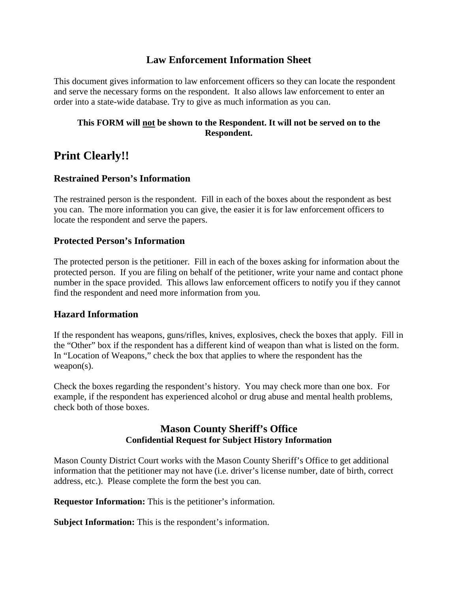# **Law Enforcement Information Sheet**

This document gives information to law enforcement officers so they can locate the respondent and serve the necessary forms on the respondent. It also allows law enforcement to enter an order into a state-wide database. Try to give as much information as you can.

# **This FORM will not be shown to the Respondent. It will not be served on to the Respondent.**

# **Print Clearly!!**

# **Restrained Person's Information**

The restrained person is the respondent. Fill in each of the boxes about the respondent as best you can. The more information you can give, the easier it is for law enforcement officers to locate the respondent and serve the papers.

# **Protected Person's Information**

The protected person is the petitioner. Fill in each of the boxes asking for information about the protected person. If you are filing on behalf of the petitioner, write your name and contact phone number in the space provided. This allows law enforcement officers to notify you if they cannot find the respondent and need more information from you.

# **Hazard Information**

If the respondent has weapons, guns/rifles, knives, explosives, check the boxes that apply. Fill in the "Other" box if the respondent has a different kind of weapon than what is listed on the form. In "Location of Weapons," check the box that applies to where the respondent has the weapon(s).

Check the boxes regarding the respondent's history. You may check more than one box. For example, if the respondent has experienced alcohol or drug abuse and mental health problems, check both of those boxes.

# **Mason County Sheriff's Office Confidential Request for Subject History Information**

Mason County District Court works with the Mason County Sheriff's Office to get additional information that the petitioner may not have (i.e. driver's license number, date of birth, correct address, etc.). Please complete the form the best you can.

**Requestor Information:** This is the petitioner's information.

**Subject Information:** This is the respondent's information.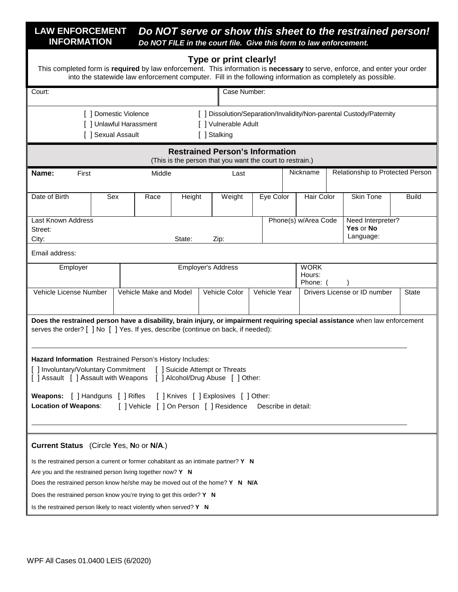#### **LAW ENFORCEMENT INFORMATION** *Do NOT serve or show this sheet to the restrained person! Do NOT FILE in the court file. Give this form to law enforcement.*

#### **Type or print clearly!**

This completed form is **required** by law enforcement. This information is **necessary** to serve, enforce, and enter your order into the statewide law enforcement computer. Fill in the following information as completely as possible.

| Court:                                                                                                                                                                                                                                                                                                                                                                           |                         |        | Case Number:                                                                                        |              |                                   |  |                                                                      |              |
|----------------------------------------------------------------------------------------------------------------------------------------------------------------------------------------------------------------------------------------------------------------------------------------------------------------------------------------------------------------------------------|-------------------------|--------|-----------------------------------------------------------------------------------------------------|--------------|-----------------------------------|--|----------------------------------------------------------------------|--------------|
| [ ] Domestic Violence<br>[ ] Sexual Assault                                                                                                                                                                                                                                                                                                                                      | [ ] Unlawful Harassment |        | [ ] Vulnerable Adult<br>[ ] Stalking                                                                |              |                                   |  | [ ] Dissolution/Separation/Invalidity/Non-parental Custody/Paternity |              |
|                                                                                                                                                                                                                                                                                                                                                                                  |                         |        | <b>Restrained Person's Information</b><br>(This is the person that you want the court to restrain.) |              |                                   |  |                                                                      |              |
| Name:<br>First                                                                                                                                                                                                                                                                                                                                                                   | Middle                  |        | Last                                                                                                |              | Nickname                          |  | Relationship to Protected Person                                     |              |
| Date of Birth<br>Sex                                                                                                                                                                                                                                                                                                                                                             | Race                    | Height | Weight                                                                                              | Eye Color    | Hair Color                        |  | <b>Skin Tone</b>                                                     | <b>Build</b> |
| Last Known Address<br>Street:<br>City:                                                                                                                                                                                                                                                                                                                                           |                         | State: | Zip:                                                                                                |              | Phone(s) w/Area Code              |  | Need Interpreter?<br>Yes or No<br>Language:                          |              |
| Email address:                                                                                                                                                                                                                                                                                                                                                                   |                         |        |                                                                                                     |              |                                   |  |                                                                      |              |
| Employer                                                                                                                                                                                                                                                                                                                                                                         |                         |        | <b>Employer's Address</b>                                                                           |              | <b>WORK</b><br>Hours:<br>Phone: ( |  |                                                                      |              |
| Vehicle License Number                                                                                                                                                                                                                                                                                                                                                           | Vehicle Make and Model  |        | Vehicle Color                                                                                       | Vehicle Year |                                   |  | Drivers License or ID number                                         | <b>State</b> |
| Does the restrained person have a disability, brain injury, or impairment requiring special assistance when law enforcement<br>serves the order? [ ] No [ ] Yes. If yes, describe (continue on back, if needed):<br>Hazard Information Restrained Person's History Includes:<br>[ ] Involuntary/Voluntary Commitment [ ] Suicide Attempt or Threats                              |                         |        |                                                                                                     |              |                                   |  |                                                                      |              |
| [ ] Assault [ ] Assault with Weapons [ ] Alcohol/Drug Abuse [ ] Other:                                                                                                                                                                                                                                                                                                           |                         |        |                                                                                                     |              |                                   |  |                                                                      |              |
| Weapons: [ ] Handguns [ ] Rifles [ ] Knives [ ] Explosives [ ] Other:<br>[] Vehicle [] On Person [] Residence Describe in detail:<br><b>Location of Weapons:</b>                                                                                                                                                                                                                 |                         |        |                                                                                                     |              |                                   |  |                                                                      |              |
| Current Status (Circle Yes, No or N/A.)                                                                                                                                                                                                                                                                                                                                          |                         |        |                                                                                                     |              |                                   |  |                                                                      |              |
| Is the restrained person a current or former cohabitant as an intimate partner? Y N<br>Are you and the restrained person living together now? Y N<br>Does the restrained person know he/she may be moved out of the home? Y N N/A<br>Does the restrained person know you're trying to get this order? Y N<br>Is the restrained person likely to react violently when served? Y N |                         |        |                                                                                                     |              |                                   |  |                                                                      |              |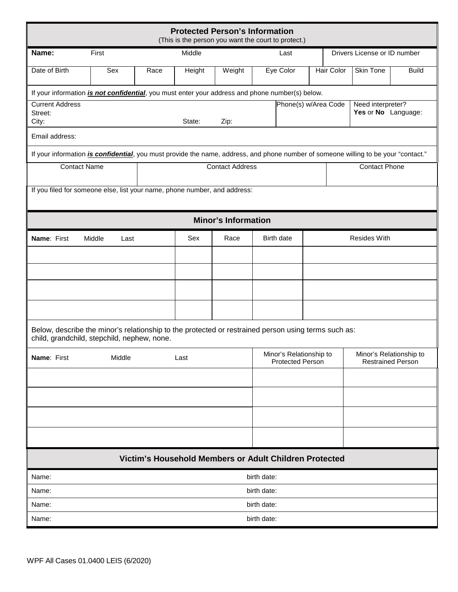|                                                                       |                                                                                                                                                    |      | <b>Protected Person's Information</b><br>(This is the person you want the court to protect.) |                            |                                                                                                           |                      |  |            |                                          |              |
|-----------------------------------------------------------------------|----------------------------------------------------------------------------------------------------------------------------------------------------|------|----------------------------------------------------------------------------------------------|----------------------------|-----------------------------------------------------------------------------------------------------------|----------------------|--|------------|------------------------------------------|--------------|
| Name:                                                                 | First                                                                                                                                              |      | Middle                                                                                       |                            |                                                                                                           | Last                 |  |            | Drivers License or ID number             |              |
| Date of Birth                                                         | Sex                                                                                                                                                | Race | Height                                                                                       | Weight                     |                                                                                                           | Eye Color            |  | Hair Color | Skin Tone                                | <b>Build</b> |
|                                                                       | If your information <i>is not confidential</i> , you must enter your address and phone number(s) below.                                            |      |                                                                                              |                            |                                                                                                           |                      |  |            |                                          |              |
| <b>Current Address</b><br>Street:                                     |                                                                                                                                                    |      |                                                                                              |                            |                                                                                                           | Phone(s) w/Area Code |  |            | Need interpreter?<br>Yes or No Language: |              |
| City:<br>Email address:                                               |                                                                                                                                                    |      | State:                                                                                       | Zip:                       |                                                                                                           |                      |  |            |                                          |              |
|                                                                       | If your information <i>is confidential</i> , you must provide the name, address, and phone number of someone willing to be your "contact."         |      |                                                                                              |                            |                                                                                                           |                      |  |            |                                          |              |
| <b>Contact Name</b><br><b>Contact Address</b><br><b>Contact Phone</b> |                                                                                                                                                    |      |                                                                                              |                            |                                                                                                           |                      |  |            |                                          |              |
|                                                                       | If you filed for someone else, list your name, phone number, and address:                                                                          |      |                                                                                              |                            |                                                                                                           |                      |  |            |                                          |              |
|                                                                       |                                                                                                                                                    |      |                                                                                              | <b>Minor's Information</b> |                                                                                                           |                      |  |            |                                          |              |
| Name: First                                                           | Middle<br>Last                                                                                                                                     |      | Sex                                                                                          | Race                       |                                                                                                           | Birth date           |  |            | <b>Resides With</b>                      |              |
|                                                                       |                                                                                                                                                    |      |                                                                                              |                            |                                                                                                           |                      |  |            |                                          |              |
|                                                                       |                                                                                                                                                    |      |                                                                                              |                            |                                                                                                           |                      |  |            |                                          |              |
|                                                                       |                                                                                                                                                    |      |                                                                                              |                            |                                                                                                           |                      |  |            |                                          |              |
|                                                                       |                                                                                                                                                    |      |                                                                                              |                            |                                                                                                           |                      |  |            |                                          |              |
|                                                                       | Below, describe the minor's relationship to the protected or restrained person using terms such as:<br>child, grandchild, stepchild, nephew, none. |      |                                                                                              |                            |                                                                                                           |                      |  |            |                                          |              |
| Name: First                                                           | Middle                                                                                                                                             |      | Last                                                                                         |                            | Minor's Relationship to<br>Minor's Relationship to<br><b>Protected Person</b><br><b>Restrained Person</b> |                      |  |            |                                          |              |
|                                                                       |                                                                                                                                                    |      |                                                                                              |                            |                                                                                                           |                      |  |            |                                          |              |
|                                                                       |                                                                                                                                                    |      |                                                                                              |                            |                                                                                                           |                      |  |            |                                          |              |
|                                                                       |                                                                                                                                                    |      |                                                                                              |                            |                                                                                                           |                      |  |            |                                          |              |
|                                                                       |                                                                                                                                                    |      |                                                                                              |                            |                                                                                                           |                      |  |            |                                          |              |
|                                                                       |                                                                                                                                                    |      |                                                                                              |                            |                                                                                                           |                      |  |            |                                          |              |
|                                                                       |                                                                                                                                                    |      | Victim's Household Members or Adult Children Protected                                       |                            |                                                                                                           |                      |  |            |                                          |              |
| Name:                                                                 |                                                                                                                                                    |      |                                                                                              |                            | birth date:                                                                                               |                      |  |            |                                          |              |
| Name:                                                                 |                                                                                                                                                    |      |                                                                                              |                            | birth date:                                                                                               |                      |  |            |                                          |              |
| Name:                                                                 |                                                                                                                                                    |      |                                                                                              |                            | birth date:                                                                                               |                      |  |            |                                          |              |
| birth date:<br>Name:                                                  |                                                                                                                                                    |      |                                                                                              |                            |                                                                                                           |                      |  |            |                                          |              |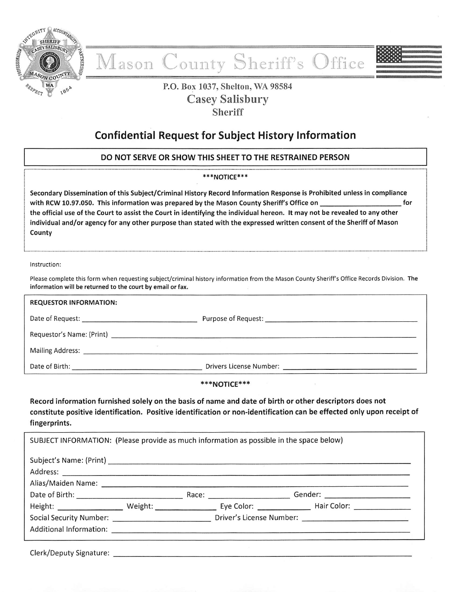

# County Sheriff's Office ason

# P.O. Box 1037, Shelton, WA 98584 **Casey Salisbury Sheriff**

# **Confidential Request for Subject History Information**

# DO NOT SERVE OR SHOW THIS SHEET TO THE RESTRAINED PERSON

#### \*\*\*NOTICE\*\*\*

Secondary Dissemination of this Subject/Criminal History Record Information Response is Prohibited unless in compliance with RCW 10.97.050. This information was prepared by the Mason County Sheriff's Office on for the official use of the Court to assist the Court in identifying the individual hereon. It may not be revealed to any other individual and/or agency for any other purpose than stated with the expressed written consent of the Sheriff of Mason County

#### Instruction:

Please complete this form when requesting subject/criminal history information from the Mason County Sheriff's Office Records Division. The information will be returned to the court by email or fax.

| <b>REQUESTOR INFORMATION:</b> |  |
|-------------------------------|--|
|                               |  |
|                               |  |
|                               |  |
|                               |  |

#### \*\*\*NOTICE\*\*\*

Record information furnished solely on the basis of name and date of birth or other descriptors does not constitute positive identification. Positive identification or non-identification can be effected only upon receipt of fingerprints.

| SUBJECT INFORMATION: (Please provide as much information as possible in the space below)                       |  |  |  |
|----------------------------------------------------------------------------------------------------------------|--|--|--|
|                                                                                                                |  |  |  |
|                                                                                                                |  |  |  |
|                                                                                                                |  |  |  |
| Height: Weight: Weight: Eye Color: Hair Color: Maint Color:                                                    |  |  |  |
| Social Security Number: __________________________________Driver's License Number: ___________________________ |  |  |  |
| Additional Information: <u>Additional Information:</u> Additional Information:                                 |  |  |  |
| <b>Clerk/Deputy Signature:</b>                                                                                 |  |  |  |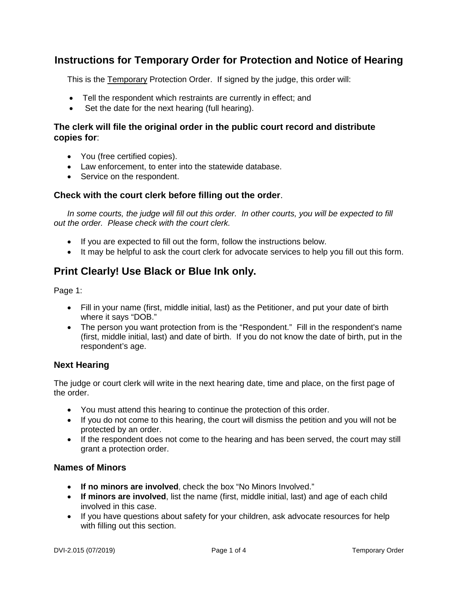# **Instructions for Temporary Order for Protection and Notice of Hearing**

This is the Temporary Protection Order. If signed by the judge, this order will:

- Tell the respondent which restraints are currently in effect; and
- Set the date for the next hearing (full hearing).

# **The clerk will file the original order in the public court record and distribute copies for**:

- You (free certified copies).
- Law enforcement, to enter into the statewide database.
- Service on the respondent.

# **Check with the court clerk before filling out the order**.

*In some courts, the judge will fill out this order. In other courts, you will be expected to fill out the order. Please check with the court clerk.* 

- If you are expected to fill out the form, follow the instructions below.
- It may be helpful to ask the court clerk for advocate services to help you fill out this form.

# **Print Clearly! Use Black or Blue Ink only.**

Page 1:

- Fill in your name (first, middle initial, last) as the Petitioner, and put your date of birth where it says "DOB."
- The person you want protection from is the "Respondent." Fill in the respondent's name (first, middle initial, last) and date of birth. If you do not know the date of birth, put in the respondent's age.

# **Next Hearing**

The judge or court clerk will write in the next hearing date, time and place, on the first page of the order.

- You must attend this hearing to continue the protection of this order.
- If you do not come to this hearing, the court will dismiss the petition and you will not be protected by an order.
- If the respondent does not come to the hearing and has been served, the court may still grant a protection order.

# **Names of Minors**

- **If no minors are involved**, check the box "No Minors Involved."
- **If minors are involved**, list the name (first, middle initial, last) and age of each child involved in this case.
- If you have questions about safety for your children, ask advocate resources for help with filling out this section.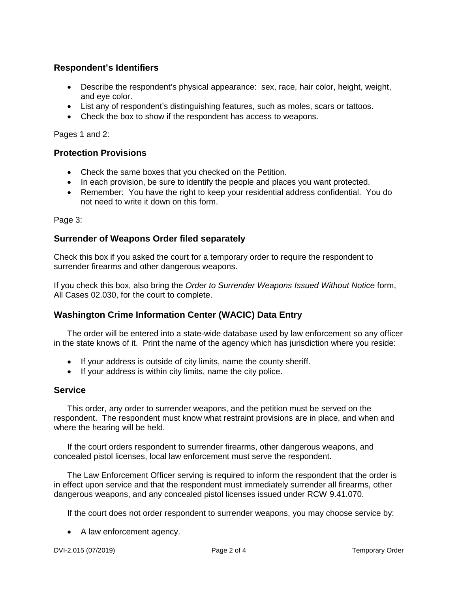# **Respondent's Identifiers**

- Describe the respondent's physical appearance: sex, race, hair color, height, weight, and eye color.
- List any of respondent's distinguishing features, such as moles, scars or tattoos.
- Check the box to show if the respondent has access to weapons.

Pages 1 and 2:

# **Protection Provisions**

- Check the same boxes that you checked on the Petition.
- In each provision, be sure to identify the people and places you want protected.
- Remember: You have the right to keep your residential address confidential. You do not need to write it down on this form.

Page 3:

# **Surrender of Weapons Order filed separately**

Check this box if you asked the court for a temporary order to require the respondent to surrender firearms and other dangerous weapons.

If you check this box, also bring the *Order to Surrender Weapons Issued Without Notice* form, All Cases 02.030, for the court to complete.

# **Washington Crime Information Center (WACIC) Data Entry**

The order will be entered into a state-wide database used by law enforcement so any officer in the state knows of it. Print the name of the agency which has jurisdiction where you reside:

- If your address is outside of city limits, name the county sheriff.
- If your address is within city limits, name the city police.

# **Service**

This order, any order to surrender weapons, and the petition must be served on the respondent. The respondent must know what restraint provisions are in place, and when and where the hearing will be held.

If the court orders respondent to surrender firearms, other dangerous weapons, and concealed pistol licenses, local law enforcement must serve the respondent.

The Law Enforcement Officer serving is required to inform the respondent that the order is in effect upon service and that the respondent must immediately surrender all firearms, other dangerous weapons, and any concealed pistol licenses issued under RCW 9.41.070.

If the court does not order respondent to surrender weapons, you may choose service by:

• A law enforcement agency.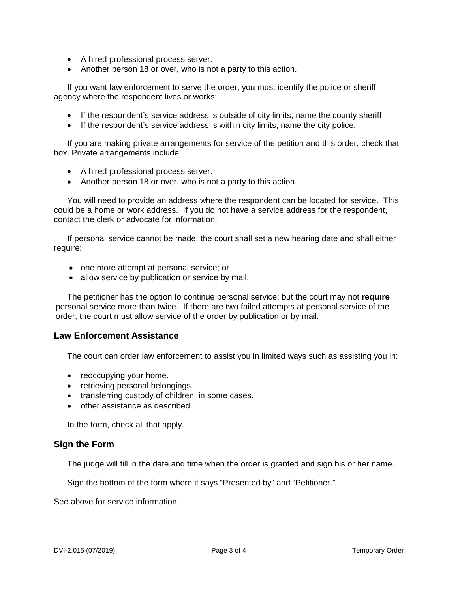- A hired professional process server.
- Another person 18 or over, who is not a party to this action.

If you want law enforcement to serve the order, you must identify the police or sheriff agency where the respondent lives or works:

- If the respondent's service address is outside of city limits, name the county sheriff.
- If the respondent's service address is within city limits, name the city police.

If you are making private arrangements for service of the petition and this order, check that box. Private arrangements include:

- A hired professional process server.
- Another person 18 or over, who is not a party to this action.

You will need to provide an address where the respondent can be located for service. This could be a home or work address. If you do not have a service address for the respondent, contact the clerk or advocate for information.

If personal service cannot be made, the court shall set a new hearing date and shall either require:

- one more attempt at personal service; or
- allow service by publication or service by mail.

The petitioner has the option to continue personal service; but the court may not **require** personal service more than twice. If there are two failed attempts at personal service of the order, the court must allow service of the order by publication or by mail.

#### **Law Enforcement Assistance**

The court can order law enforcement to assist you in limited ways such as assisting you in:

- reoccupying your home.
- retrieving personal belongings.
- transferring custody of children, in some cases.
- other assistance as described.

In the form, check all that apply.

#### **Sign the Form**

The judge will fill in the date and time when the order is granted and sign his or her name.

Sign the bottom of the form where it says "Presented by" and "Petitioner."

See above for service information.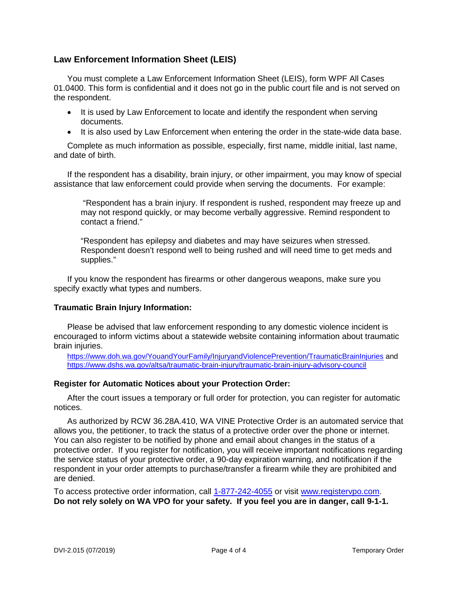# **Law Enforcement Information Sheet (LEIS)**

You must complete a Law Enforcement Information Sheet (LEIS), form WPF All Cases 01.0400. This form is confidential and it does not go in the public court file and is not served on the respondent.

- It is used by Law Enforcement to locate and identify the respondent when serving documents.
- It is also used by Law Enforcement when entering the order in the state-wide data base.

Complete as much information as possible, especially, first name, middle initial, last name, and date of birth.

If the respondent has a disability, brain injury, or other impairment, you may know of special assistance that law enforcement could provide when serving the documents. For example:

"Respondent has a brain injury. If respondent is rushed, respondent may freeze up and may not respond quickly, or may become verbally aggressive. Remind respondent to contact a friend."

"Respondent has epilepsy and diabetes and may have seizures when stressed. Respondent doesn't respond well to being rushed and will need time to get meds and supplies."

If you know the respondent has firearms or other dangerous weapons, make sure you specify exactly what types and numbers.

#### **Traumatic Brain Injury Information:**

Please be advised that law enforcement responding to any domestic violence incident is encouraged to inform victims about a statewide website containing information about traumatic brain injuries.

<https://www.doh.wa.gov/YouandYourFamily/InjuryandViolencePrevention/TraumaticBrainInjuries> and <https://www.dshs.wa.gov/altsa/traumatic-brain-injury/traumatic-brain-injury-advisory-council>

# **Register for Automatic Notices about your Protection Order:**

After the court issues a temporary or full order for protection, you can register for automatic notices.

As authorized by RCW 36.28A.410, WA VINE Protective Order is an automated service that allows you, the petitioner, to track the status of a protective order over the phone or internet. You can also register to be notified by phone and email about changes in the status of a protective order. If you register for notification, you will receive important notifications regarding the service status of your protective order, a 90-day expiration warning, and notification if the respondent in your order attempts to purchase/transfer a firearm while they are prohibited and are denied.

To access protective order information, call [1-877-242-4055](tel:1-877-242-4055) or visit [www.registervpo.com.](http://www.registervpo.com/) **Do not rely solely on WA VPO for your safety. If you feel you are in danger, call 9-1-1.**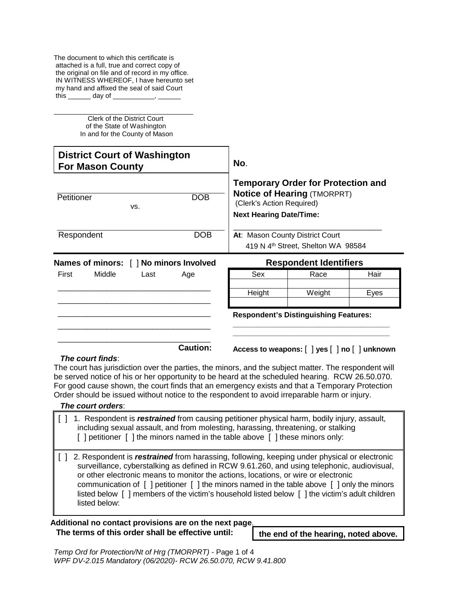The document to which this certificate is attached is a full, true and correct copy of the original on file and of record in my office. IN WITNESS WHEREOF, I have hereunto set my hand and affixed the seal of said Court this day of

\_\_\_\_\_\_\_\_\_\_\_\_\_\_\_\_\_\_\_\_\_\_\_\_\_\_\_\_\_\_\_\_\_\_\_\_\_ Clerk of the District Court of the State of Washington In and for the County of Mason

|            | <b>District Court of Washington</b><br><b>For Mason County</b> |      |                                         | No.                                                         |                                                                                 |      |
|------------|----------------------------------------------------------------|------|-----------------------------------------|-------------------------------------------------------------|---------------------------------------------------------------------------------|------|
| Petitioner |                                                                | VS.  | <b>DOB</b>                              | (Clerk's Action Required)<br><b>Next Hearing Date/Time:</b> | <b>Temporary Order for Protection and</b><br><b>Notice of Hearing (TMORPRT)</b> |      |
| Respondent |                                                                |      | <b>DOB</b>                              | At: Mason County District Court                             | 419 N 4 <sup>th</sup> Street, Shelton WA 98584                                  |      |
|            |                                                                |      | Names of minors: [ ] No minors Involved |                                                             | <b>Respondent Identifiers</b>                                                   |      |
| First      | Middle                                                         | Last | Age                                     | Sex                                                         | Race                                                                            | Hair |
|            |                                                                |      |                                         |                                                             |                                                                                 |      |
|            |                                                                |      |                                         | Height                                                      | Weight                                                                          | Eyes |
|            |                                                                |      |                                         |                                                             | <b>Respondent's Distinguishing Features:</b>                                    |      |

#### *The court finds*:

The court has jurisdiction over the parties, the minors, and the subject matter. The respondent will be served notice of his or her opportunity to be heard at the scheduled hearing. RCW 26.50.070. For good cause shown, the court finds that an emergency exists and that a Temporary Protection Order should be issued without notice to the respondent to avoid irreparable harm or injury.

#### *The court orders*:

[ ] 1. Respondent is *restrained* from causing petitioner physical harm, bodily injury, assault, including sexual assault, and from molesting, harassing, threatening, or stalking [] petitioner [] the minors named in the table above [] these minors only:

[ ] 2. Respondent is *restrained* from harassing, following, keeping under physical or electronic surveillance, cyberstalking as defined in RCW 9.61.260, and using telephonic, audiovisual, or other electronic means to monitor the actions, locations, or wire or electronic communication of [ ] petitioner [ ] the minors named in the table above [ ] only the minors listed below [ ] members of the victim's household listed below [ ] the victim's adult children listed below:

# **Additional no contact provisions are on the next page**. **The terms of this order shall be effective until: the end of the hearing, noted above.**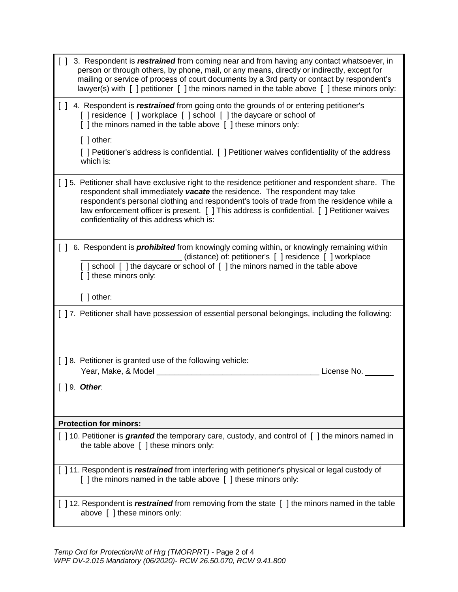| $\Box$ | 3. Respondent is restrained from coming near and from having any contact whatsoever, in<br>person or through others, by phone, mail, or any means, directly or indirectly, except for<br>mailing or service of process of court documents by a 3rd party or contact by respondent's<br>lawyer(s) with $\lceil$ ] petitioner $\lceil$ ] the minors named in the table above $\lceil$ ] these minors only:                  |
|--------|---------------------------------------------------------------------------------------------------------------------------------------------------------------------------------------------------------------------------------------------------------------------------------------------------------------------------------------------------------------------------------------------------------------------------|
|        | [ ] 4. Respondent is <i>restrained</i> from going onto the grounds of or entering petitioner's<br>[] residence [] workplace [] school [] the daycare or school of<br>[ ] the minors named in the table above [ ] these minors only:<br>$[$ ] other:                                                                                                                                                                       |
|        | [ ] Petitioner's address is confidential. [ ] Petitioner waives confidentiality of the address<br>which is:                                                                                                                                                                                                                                                                                                               |
|        | [ ] 5. Petitioner shall have exclusive right to the residence petitioner and respondent share. The<br>respondent shall immediately vacate the residence. The respondent may take<br>respondent's personal clothing and respondent's tools of trade from the residence while a<br>law enforcement officer is present. [ ] This address is confidential. [ ] Petitioner waives<br>confidentiality of this address which is: |
| $\Box$ | 6. Respondent is <i>prohibited</i> from knowingly coming within, or knowingly remaining within<br>(distance) of: petitioner's [ ] residence [ ] workplace<br>[] school [] the daycare or school of [] the minors named in the table above<br>[ ] these minors only:                                                                                                                                                       |
|        | $[ ]$ other:                                                                                                                                                                                                                                                                                                                                                                                                              |
|        | [ ] 7. Petitioner shall have possession of essential personal belongings, including the following:                                                                                                                                                                                                                                                                                                                        |
|        | [ ] 8. Petitioner is granted use of the following vehicle:<br>Year, Make, & Model _<br>License No.                                                                                                                                                                                                                                                                                                                        |
|        | $[$ ] 9. Other:                                                                                                                                                                                                                                                                                                                                                                                                           |
|        | <b>Protection for minors:</b>                                                                                                                                                                                                                                                                                                                                                                                             |
|        | [ ] 10. Petitioner is <i>granted</i> the temporary care, custody, and control of [ ] the minors named in<br>the table above [ ] these minors only:                                                                                                                                                                                                                                                                        |
|        | [ ] 11. Respondent is <i>restrained</i> from interfering with petitioner's physical or legal custody of<br>[] the minors named in the table above [] these minors only:                                                                                                                                                                                                                                                   |
|        | [ ] 12. Respondent is <i>restrained</i> from removing from the state [ ] the minors named in the table<br>above [ ] these minors only:                                                                                                                                                                                                                                                                                    |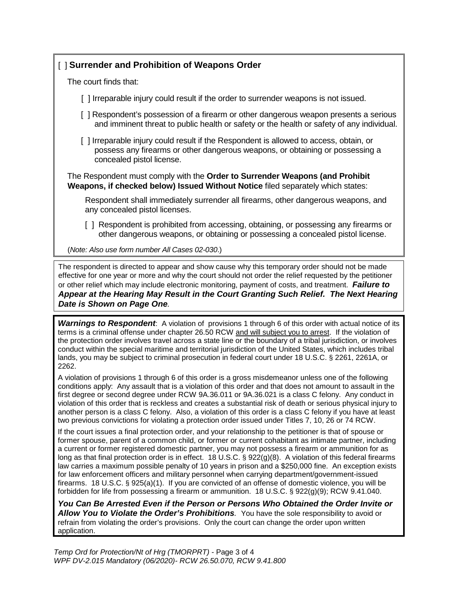# [ ] **Surrender and Prohibition of Weapons Order**

The court finds that:

[ ] Irreparable injury could result if the order to surrender weapons is not issued.

- [ ] Respondent's possession of a firearm or other dangerous weapon presents a serious and imminent threat to public health or safety or the health or safety of any individual.
- [ ] Irreparable injury could result if the Respondent is allowed to access, obtain, or possess any firearms or other dangerous weapons, or obtaining or possessing a concealed pistol license.

The Respondent must comply with the **Order to Surrender Weapons (and Prohibit Weapons, if checked below) Issued Without Notice** filed separately which states:

Respondent shall immediately surrender all firearms, other dangerous weapons, and any concealed pistol licenses.

[ ] Respondent is prohibited from accessing, obtaining, or possessing any firearms or other dangerous weapons, or obtaining or possessing a concealed pistol license.

(*Note: Also use form number All Cases 02-030*.)

The respondent is directed to appear and show cause why this temporary order should not be made effective for one year or more and why the court should not order the relief requested by the petitioner or other relief which may include electronic monitoring, payment of costs, and treatment. *Failure to Appear at the Hearing May Result in the Court Granting Such Relief. The Next Hearing Date is Shown on Page One.*

*Warnings to Respondent*: A violation of provisions 1 through 6 of this order with actual notice of its terms is a criminal offense under chapter 26.50 RCW and will subject you to arrest. If the violation of the protection order involves travel across a state line or the boundary of a tribal jurisdiction, or involves conduct within the special maritime and territorial jurisdiction of the United States, which includes tribal lands, you may be subject to criminal prosecution in federal court under 18 U.S.C. § 2261, 2261A, or 2262.

A violation of provisions 1 through 6 of this order is a gross misdemeanor unless one of the following conditions apply: Any assault that is a violation of this order and that does not amount to assault in the first degree or second degree under RCW 9A.36.011 or 9A.36.021 is a class C felony. Any conduct in violation of this order that is reckless and creates a substantial risk of death or serious physical injury to another person is a class C felony. Also, a violation of this order is a class C felony if you have at least two previous convictions for violating a protection order issued under Titles 7, 10, 26 or 74 RCW.

If the court issues a final protection order, and your relationship to the petitioner is that of spouse or former spouse, parent of a common child, or former or current cohabitant as intimate partner, including a current or former registered domestic partner, you may not possess a firearm or ammunition for as long as that final protection order is in effect. 18 U.S.C. § 922(g)(8). A violation of this federal firearms law carries a maximum possible penalty of 10 years in prison and a \$250,000 fine. An exception exists for law enforcement officers and military personnel when carrying department/government-issued firearms. 18 U.S.C. § 925(a)(1). If you are convicted of an offense of domestic violence, you will be forbidden for life from possessing a firearm or ammunition. 18 U.S.C. § 922(g)(9); RCW 9.41.040.

*You Can Be Arrested Even if the Person or Persons Who Obtained the Order Invite or Allow You to Violate the Order's Prohibitions.* You have the sole responsibility to avoid or refrain from violating the order's provisions. Only the court can change the order upon written application.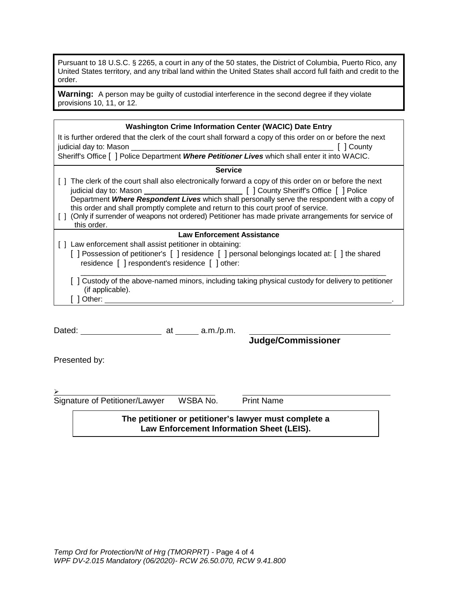Pursuant to 18 U.S.C. § 2265, a court in any of the 50 states, the District of Columbia, Puerto Rico, any United States territory, and any tribal land within the United States shall accord full faith and credit to the order.

Warning: A person may be guilty of custodial interference in the second degree if they violate provisions 10, 11, or 12.

| <b>Washington Crime Information Center (WACIC) Date Entry</b>                                                         |  |  |
|-----------------------------------------------------------------------------------------------------------------------|--|--|
| It is further ordered that the clerk of the court shall forward a copy of this order on or before the next            |  |  |
| [ County                                                                                                              |  |  |
| Sheriff's Office [ ] Police Department Where Petitioner Lives which shall enter it into WACIC.                        |  |  |
| <b>Service</b>                                                                                                        |  |  |
| The clerk of the court shall also electronically forward a copy of this order on or before the next                   |  |  |
|                                                                                                                       |  |  |
| Department Where Respondent Lives which shall personally serve the respondent with a copy of                          |  |  |
| this order and shall promptly complete and return to this court proof of service.                                     |  |  |
| [ ] (Only if surrender of weapons not ordered) Petitioner has made private arrangements for service of<br>this order. |  |  |
| <b>Law Enforcement Assistance</b>                                                                                     |  |  |
| Law enforcement shall assist petitioner in obtaining:                                                                 |  |  |
| [] Possession of petitioner's [] residence [] personal belongings located at: [] the shared                           |  |  |
| residence [ ] respondent's residence [ ] other:                                                                       |  |  |
| Custody of the above-named minors, including taking physical custody for delivery to petitioner<br>(if applicable).   |  |  |
| Other: $\_\_$                                                                                                         |  |  |
|                                                                                                                       |  |  |

Dated:  $Dated:$   $at$   $a.m./p.m.$ 

Presented by:

 $\blacktriangleright$ 

Signature of Petitioner/Lawyer WSBA No. Print Name

**Judge/Commissioner**

**The petitioner or petitioner's lawyer must complete a Law Enforcement Information Sheet (LEIS).**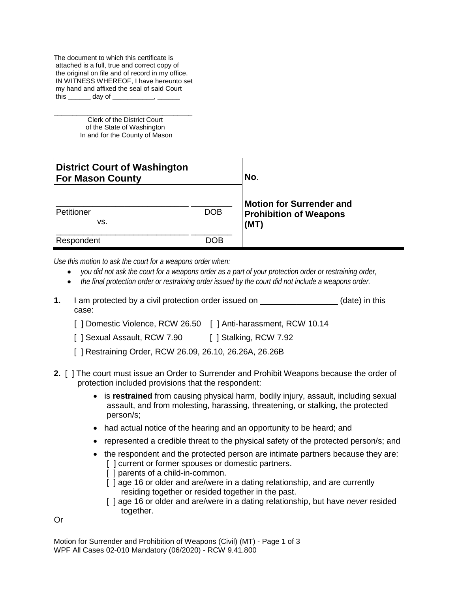The document to which this certificate is attached is a full, true and correct copy of the original on file and of record in my office. IN WITNESS WHEREOF, I have hereunto set my hand and affixed the seal of said Court this day of

\_\_\_\_\_\_\_\_\_\_\_\_\_\_\_\_\_\_\_\_\_\_\_\_\_\_\_\_\_\_\_\_\_\_\_\_\_ Clerk of the District Court of the State of Washington In and for the County of Mason

| District Court of Washington<br><b>For Mason County</b> | No.        |                                                                          |
|---------------------------------------------------------|------------|--------------------------------------------------------------------------|
| Petitioner<br>VS.                                       | <b>DOB</b> | <b>Motion for Surrender and</b><br><b>Prohibition of Weapons</b><br>(MT) |
| Respondent                                              | DOB        |                                                                          |

*Use this motion to ask the court for a weapons order when:*

- *you did not ask the court for a weapons order as a part of your protection order or restraining order,*
- *the final protection order or restraining order issued by the court did not include a weapons order.*
- **1.** I am protected by a civil protection order issued on  $\qquad \qquad$  (date) in this case:
	- [ ] Domestic Violence, RCW 26.50 [ ] Anti-harassment, RCW 10.14
	- [ ] Sexual Assault, RCW 7.90 [ ] Stalking, RCW 7.92
	- [ ] Restraining Order, RCW 26.09, 26.10, 26.26A, 26.26B
- **2.** [ ] The court must issue an Order to Surrender and Prohibit Weapons because the order of protection included provisions that the respondent:
	- is **restrained** from causing physical harm, bodily injury, assault, including sexual assault, and from molesting, harassing, threatening, or stalking, the protected person/s;
	- had actual notice of the hearing and an opportunity to be heard; and
	- represented a credible threat to the physical safety of the protected person/s; and
	- the respondent and the protected person are intimate partners because they are: [] current or former spouses or domestic partners.
		- [] parents of a child-in-common.
		- [ ] age 16 or older and are/were in a dating relationship, and are currently residing together or resided together in the past.
		- [ ] age 16 or older and are/were in a dating relationship, but have *never* resided together.

Or

Motion for Surrender and Prohibition of Weapons (Civil) (MT) - Page 1 of 3 WPF All Cases 02-010 Mandatory (06/2020) - RCW 9.41.800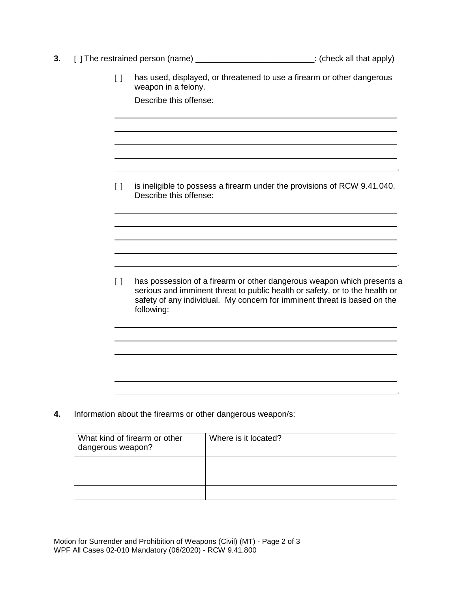- **3.** [ ] The restrained person (name) \_\_\_\_\_\_\_\_\_\_\_\_\_\_\_\_\_\_\_\_\_\_\_\_\_\_\_\_: (check all that apply)
	- [ ] has used, displayed, or threatened to use a firearm or other dangerous weapon in a felony.

Describe this offense:

[ ] is ineligible to possess a firearm under the provisions of RCW 9.41.040. Describe this offense:

.

.

.

[ ] has possession of a firearm or other dangerous weapon which presents a serious and imminent threat to public health or safety, or to the health or safety of any individual. My concern for imminent threat is based on the following:

**4.** Information about the firearms or other dangerous weapon/s:

| What kind of firearm or other<br>dangerous weapon? | Where is it located? |
|----------------------------------------------------|----------------------|
|                                                    |                      |
|                                                    |                      |
|                                                    |                      |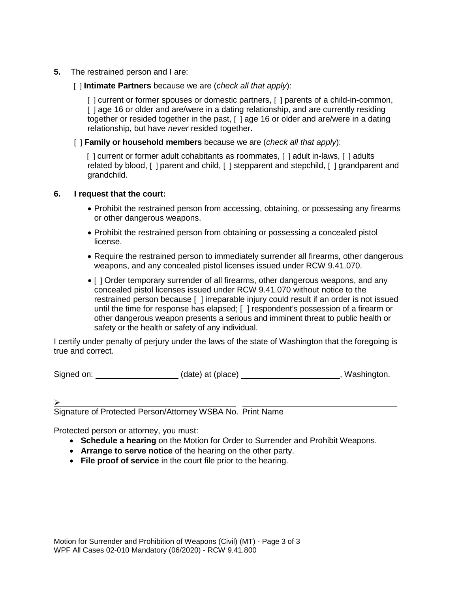- **5.** The restrained person and I are:
	- [ ] **Intimate Partners** because we are (*check all that apply*):

[] current or former spouses or domestic partners, [] parents of a child-in-common, [ ] age 16 or older and are/were in a dating relationship, and are currently residing together or resided together in the past, [ ] age 16 or older and are/were in a dating relationship, but have *never* resided together.

[ ] **Family or household members** because we are (*check all that apply*):

[] current or former adult cohabitants as roommates, [] adult in-laws, [] adults related by blood, [ ] parent and child, [ ] stepparent and stepchild, [ ] grandparent and grandchild.

# **6. I request that the court:**

- Prohibit the restrained person from accessing, obtaining, or possessing any firearms or other dangerous weapons.
- Prohibit the restrained person from obtaining or possessing a concealed pistol license.
- Require the restrained person to immediately surrender all firearms, other dangerous weapons, and any concealed pistol licenses issued under RCW 9.41.070.
- [ ] Order temporary surrender of all firearms, other dangerous weapons, and any concealed pistol licenses issued under RCW 9.41.070 without notice to the restrained person because [ ] irreparable injury could result if an order is not issued until the time for response has elapsed; [ ] respondent's possession of a firearm or other dangerous weapon presents a serious and imminent threat to public health or safety or the health or safety of any individual.

I certify under penalty of perjury under the laws of the state of Washington that the foregoing is true and correct.

Signed on: (date) at (place) (date) , Washington.

 $\blacktriangleright$ 

Signature of Protected Person/Attorney WSBA No. Print Name

Protected person or attorney, you must:

- **Schedule a hearing** on the Motion for Order to Surrender and Prohibit Weapons.
- **Arrange to serve notice** of the hearing on the other party.
- **File proof of service** in the court file prior to the hearing.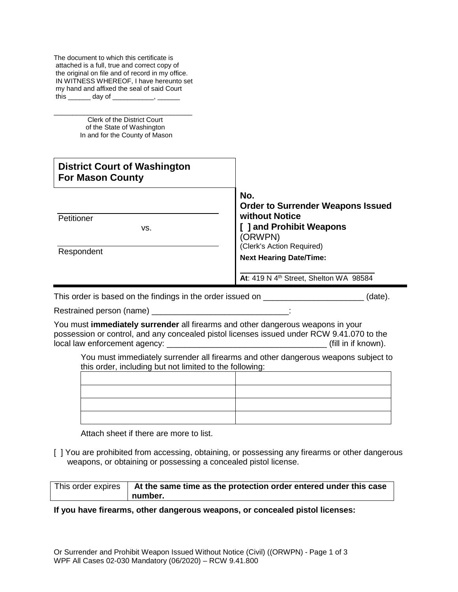\_\_\_\_\_\_\_\_\_\_\_\_\_\_\_\_\_\_\_\_\_\_\_\_\_\_\_\_\_\_\_\_\_\_\_\_\_ Clerk of the District Court of the State of Washington In and for the County of Mason

| <b>District Court of Washington</b><br><b>For Mason County</b> |                                                                                                                   |  |
|----------------------------------------------------------------|-------------------------------------------------------------------------------------------------------------------|--|
| Petitioner<br>VS.                                              | No.<br><b>Order to Surrender Weapons Issued</b><br>without Notice<br><b>J</b> and Prohibit Weapons<br>(ORWPN)     |  |
| Respondent                                                     | (Clerk's Action Required)<br><b>Next Hearing Date/Time:</b><br>At: 419 N 4 <sup>th</sup> Street, Shelton WA 98584 |  |

This order is based on the findings in the order issued on \_\_\_\_\_\_\_\_\_\_\_\_\_\_\_\_\_\_\_\_\_\_ (date).

Restrained person (name) \_\_\_\_\_\_

You must **immediately surrender** all firearms and other dangerous weapons in your possession or control, and any concealed pistol licenses issued under RCW 9.41.070 to the local law enforcement agency: \_\_\_\_\_\_\_\_\_\_\_\_\_\_\_\_\_\_\_\_\_\_\_\_\_\_\_\_\_\_\_\_\_\_\_ (fill in if known).

You must immediately surrender all firearms and other dangerous weapons subject to this order, including but not limited to the following:

Attach sheet if there are more to list.

[ ] You are prohibited from accessing, obtaining, or possessing any firearms or other dangerous weapons, or obtaining or possessing a concealed pistol license.

| This order expires | At the same time as the protection order entered under this case |
|--------------------|------------------------------------------------------------------|
|                    | number.                                                          |

# **If you have firearms, other dangerous weapons, or concealed pistol licenses:**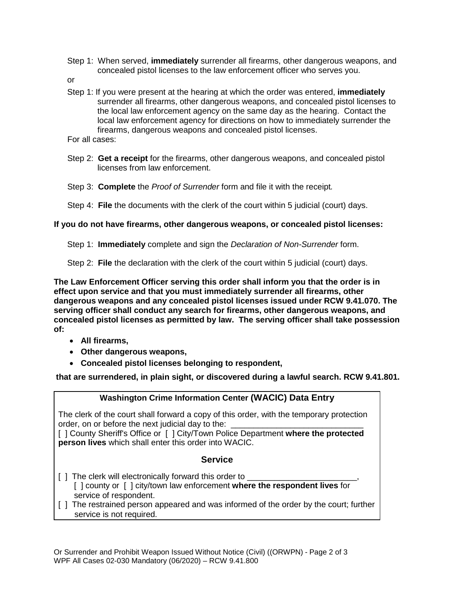- Step 1: When served, **immediately** surrender all firearms, other dangerous weapons, and concealed pistol licenses to the law enforcement officer who serves you.
- or
- Step 1: If you were present at the hearing at which the order was entered, **immediately** surrender all firearms, other dangerous weapons, and concealed pistol licenses to the local law enforcement agency on the same day as the hearing. Contact the local law enforcement agency for directions on how to immediately surrender the firearms, dangerous weapons and concealed pistol licenses.
- For all cases:
- Step 2: **Get a receipt** for the firearms, other dangerous weapons, and concealed pistol licenses from law enforcement.
- Step 3: **Complete** the *Proof of Surrender* form and file it with the receipt*.*
- Step 4: **File** the documents with the clerk of the court within 5 judicial (court) days.

#### **If you do not have firearms, other dangerous weapons, or concealed pistol licenses:**

Step 1: **Immediately** complete and sign the *Declaration of Non-Surrender* form.

Step 2: **File** the declaration with the clerk of the court within 5 judicial (court) days.

**The Law Enforcement Officer serving this order shall inform you that the order is in effect upon service and that you must immediately surrender all firearms, other dangerous weapons and any concealed pistol licenses issued under RCW 9.41.070. The serving officer shall conduct any search for firearms, other dangerous weapons, and concealed pistol licenses as permitted by law. The serving officer shall take possession of:**

- **All firearms,**
- **Other dangerous weapons,**
- **Concealed pistol licenses belonging to respondent,**

**that are surrendered, in plain sight, or discovered during a lawful search. RCW 9.41.801.** 

# **Washington Crime Information Center (WACIC) Data Entry**

The clerk of the court shall forward a copy of this order, with the temporary protection order, on or before the next judicial day to the:

[ ] County Sheriff's Office or [ ] City/Town Police Department **where the protected person lives** which shall enter this order into WACIC.

#### **Service**

- [ ] The clerk will electronically forward this order to \_ [ ] county or [ ] city/town law enforcement **where the respondent lives** for service of respondent.
- [ ] The restrained person appeared and was informed of the order by the court; further service is not required.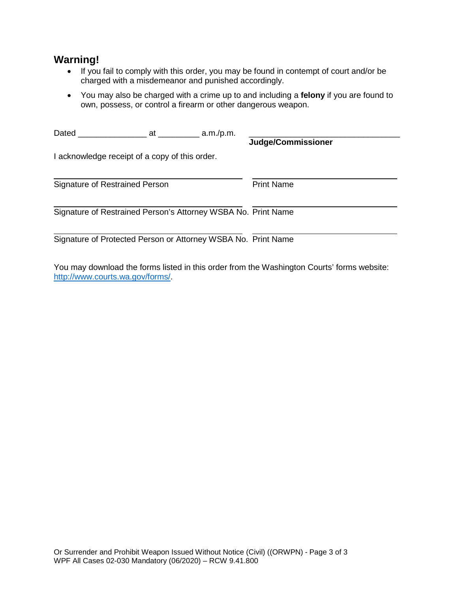# **Warning!**

- If you fail to comply with this order, you may be found in contempt of court and/or be charged with a misdemeanor and punished accordingly.
- You may also be charged with a crime up to and including a **felony** if you are found to own, possess, or control a firearm or other dangerous weapon.

| Dated                                                         | at | a.m./p.m. |                    |  |
|---------------------------------------------------------------|----|-----------|--------------------|--|
|                                                               |    |           | Judge/Commissioner |  |
| I acknowledge receipt of a copy of this order.                |    |           |                    |  |
| <b>Signature of Restrained Person</b>                         |    |           | <b>Print Name</b>  |  |
| Signature of Restrained Person's Attorney WSBA No. Print Name |    |           |                    |  |
| Signature of Protected Person or Attorney WSBA No. Print Name |    |           |                    |  |

You may download the forms listed in this order from the Washington Courts' forms website: [http://www.courts.wa.gov/forms/.](http://www.courts.wa.gov/forms/)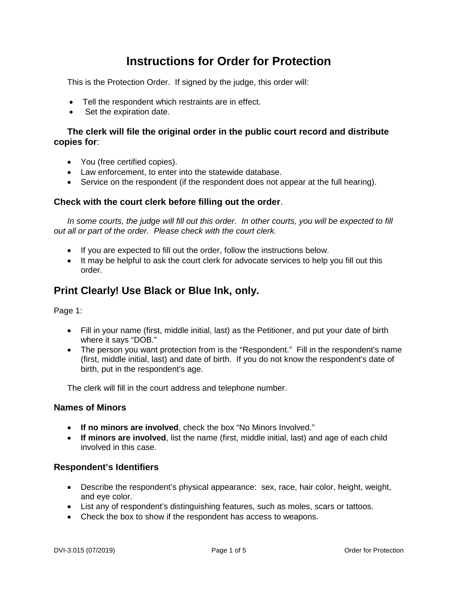# **Instructions for Order for Protection**

This is the Protection Order. If signed by the judge, this order will:

- Tell the respondent which restraints are in effect.
- Set the expiration date.

# **The clerk will file the original order in the public court record and distribute copies for**:

- You (free certified copies).
- Law enforcement, to enter into the statewide database.
- Service on the respondent (if the respondent does not appear at the full hearing).

# **Check with the court clerk before filling out the order**.

In some courts, the judge will fill out this order. In other courts, you will be expected to fill *out all or part of the order. Please check with the court clerk.* 

- If you are expected to fill out the order, follow the instructions below.
- It may be helpful to ask the court clerk for advocate services to help you fill out this order.

# **Print Clearly! Use Black or Blue Ink, only.**

Page 1:

- Fill in your name (first, middle initial, last) as the Petitioner, and put your date of birth where it says "DOB."
- The person you want protection from is the "Respondent." Fill in the respondent's name (first, middle initial, last) and date of birth. If you do not know the respondent's date of birth, put in the respondent's age.

The clerk will fill in the court address and telephone number.

# **Names of Minors**

- **If no minors are involved**, check the box "No Minors Involved."
- **If minors are involved**, list the name (first, middle initial, last) and age of each child involved in this case.

# **Respondent's Identifiers**

- Describe the respondent's physical appearance: sex, race, hair color, height, weight, and eye color.
- List any of respondent's distinguishing features, such as moles, scars or tattoos.
- Check the box to show if the respondent has access to weapons.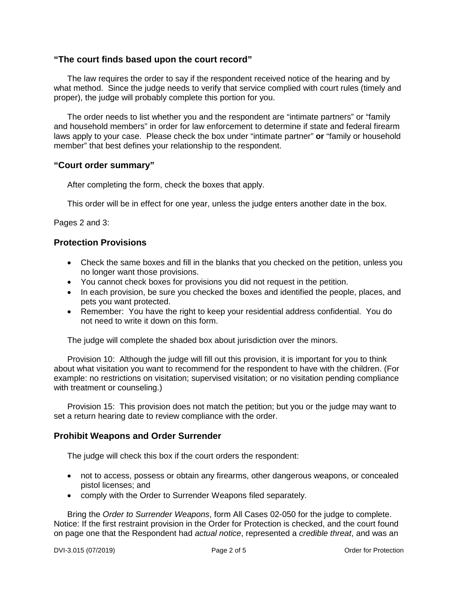# **"The court finds based upon the court record"**

The law requires the order to say if the respondent received notice of the hearing and by what method. Since the judge needs to verify that service complied with court rules (timely and proper), the judge will probably complete this portion for you.

The order needs to list whether you and the respondent are "intimate partners" or "family and household members" in order for law enforcement to determine if state and federal firearm laws apply to your case. Please check the box under "intimate partner" **or** "family or household member" that best defines your relationship to the respondent.

#### **"Court order summary"**

After completing the form, check the boxes that apply.

This order will be in effect for one year, unless the judge enters another date in the box.

Pages 2 and 3:

# **Protection Provisions**

- Check the same boxes and fill in the blanks that you checked on the petition, unless you no longer want those provisions.
- You cannot check boxes for provisions you did not request in the petition.
- In each provision, be sure you checked the boxes and identified the people, places, and pets you want protected.
- Remember: You have the right to keep your residential address confidential. You do not need to write it down on this form.

The judge will complete the shaded box about jurisdiction over the minors.

Provision 10: Although the judge will fill out this provision, it is important for you to think about what visitation you want to recommend for the respondent to have with the children. (For example: no restrictions on visitation; supervised visitation; or no visitation pending compliance with treatment or counseling.)

Provision 15: This provision does not match the petition; but you or the judge may want to set a return hearing date to review compliance with the order.

#### **Prohibit Weapons and Order Surrender**

The judge will check this box if the court orders the respondent:

- not to access, possess or obtain any firearms, other dangerous weapons, or concealed pistol licenses; and
- comply with the Order to Surrender Weapons filed separately.

Bring the *Order to Surrender Weapons*, form All Cases 02-050 for the judge to complete. Notice: If the first restraint provision in the Order for Protection is checked, and the court found on page one that the Respondent had *actual notice*, represented a *credible threat*, and was an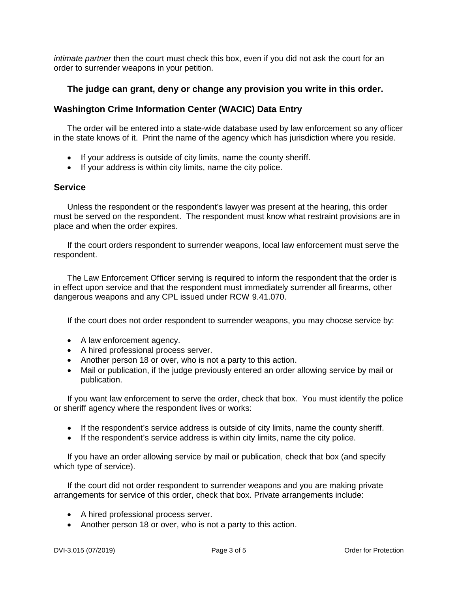*intimate partner* then the court must check this box, even if you did not ask the court for an order to surrender weapons in your petition.

# **The judge can grant, deny or change any provision you write in this order.**

# **Washington Crime Information Center (WACIC) Data Entry**

The order will be entered into a state-wide database used by law enforcement so any officer in the state knows of it. Print the name of the agency which has jurisdiction where you reside.

- If your address is outside of city limits, name the county sheriff.
- If your address is within city limits, name the city police.

# **Service**

Unless the respondent or the respondent's lawyer was present at the hearing, this order must be served on the respondent. The respondent must know what restraint provisions are in place and when the order expires.

If the court orders respondent to surrender weapons, local law enforcement must serve the respondent.

The Law Enforcement Officer serving is required to inform the respondent that the order is in effect upon service and that the respondent must immediately surrender all firearms, other dangerous weapons and any CPL issued under RCW 9.41.070.

If the court does not order respondent to surrender weapons, you may choose service by:

- A law enforcement agency.
- A hired professional process server.
- Another person 18 or over, who is not a party to this action.
- Mail or publication, if the judge previously entered an order allowing service by mail or publication.

If you want law enforcement to serve the order, check that box. You must identify the police or sheriff agency where the respondent lives or works:

- If the respondent's service address is outside of city limits, name the county sheriff.
- If the respondent's service address is within city limits, name the city police.

If you have an order allowing service by mail or publication, check that box (and specify which type of service).

If the court did not order respondent to surrender weapons and you are making private arrangements for service of this order, check that box. Private arrangements include:

- A hired professional process server.
- Another person 18 or over, who is not a party to this action.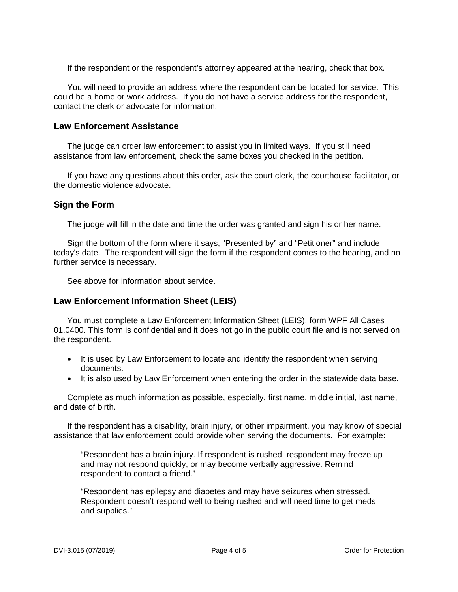If the respondent or the respondent's attorney appeared at the hearing, check that box.

You will need to provide an address where the respondent can be located for service. This could be a home or work address. If you do not have a service address for the respondent, contact the clerk or advocate for information.

#### **Law Enforcement Assistance**

The judge can order law enforcement to assist you in limited ways. If you still need assistance from law enforcement, check the same boxes you checked in the petition.

If you have any questions about this order, ask the court clerk, the courthouse facilitator, or the domestic violence advocate.

# **Sign the Form**

The judge will fill in the date and time the order was granted and sign his or her name.

Sign the bottom of the form where it says, "Presented by" and "Petitioner" and include today's date. The respondent will sign the form if the respondent comes to the hearing, and no further service is necessary.

See above for information about service.

# **Law Enforcement Information Sheet (LEIS)**

You must complete a Law Enforcement Information Sheet (LEIS), form WPF All Cases 01.0400. This form is confidential and it does not go in the public court file and is not served on the respondent.

- It is used by Law Enforcement to locate and identify the respondent when serving documents.
- It is also used by Law Enforcement when entering the order in the statewide data base.

Complete as much information as possible, especially, first name, middle initial, last name, and date of birth.

If the respondent has a disability, brain injury, or other impairment, you may know of special assistance that law enforcement could provide when serving the documents. For example:

"Respondent has a brain injury. If respondent is rushed, respondent may freeze up and may not respond quickly, or may become verbally aggressive. Remind respondent to contact a friend."

"Respondent has epilepsy and diabetes and may have seizures when stressed. Respondent doesn't respond well to being rushed and will need time to get meds and supplies."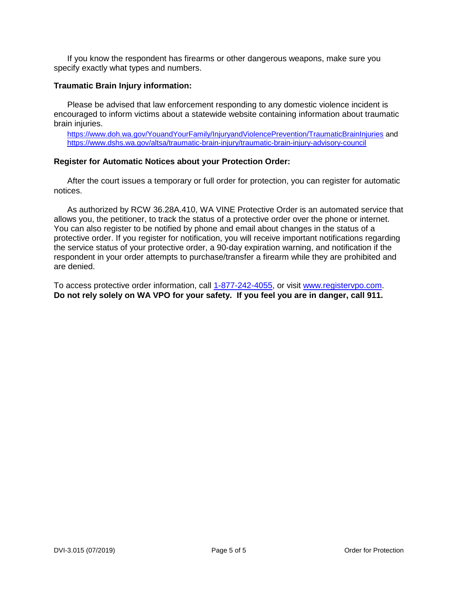If you know the respondent has firearms or other dangerous weapons, make sure you specify exactly what types and numbers.

#### **Traumatic Brain Injury information:**

Please be advised that law enforcement responding to any domestic violence incident is encouraged to inform victims about a statewide website containing information about traumatic brain injuries.

<https://www.doh.wa.gov/YouandYourFamily/InjuryandViolencePrevention/TraumaticBrainInjuries> and <https://www.dshs.wa.gov/altsa/traumatic-brain-injury/traumatic-brain-injury-advisory-council>

#### **Register for Automatic Notices about your Protection Order:**

After the court issues a temporary or full order for protection, you can register for automatic notices.

As authorized by RCW 36.28A.410, WA VINE Protective Order is an automated service that allows you, the petitioner, to track the status of a protective order over the phone or internet. You can also register to be notified by phone and email about changes in the status of a protective order. If you register for notification, you will receive important notifications regarding the service status of your protective order, a 90-day expiration warning, and notification if the respondent in your order attempts to purchase/transfer a firearm while they are prohibited and are denied.

To access protective order information, call [1-877-242-4055,](tel:1-877-242-4055) or visit [www.registervpo.com.](http://www.registervpo.com/) **Do not rely solely on WA VPO for your safety. If you feel you are in danger, call 911.**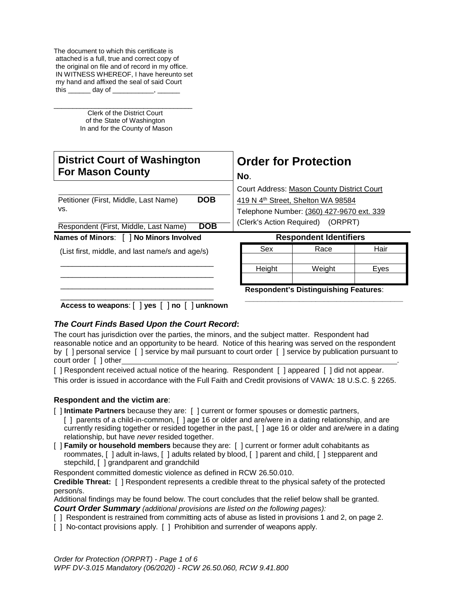The document to which this certificate is attached is a full, true and correct copy of the original on file and of record in my office. IN WITNESS WHEREOF, I have hereunto set my hand and affixed the seal of said Court this  $\rule{1em}{0.15mm}$  day of  $\rule{1em}{0.15mm}$ 

\_\_\_\_\_\_\_\_\_\_\_\_\_\_\_\_\_\_\_\_\_\_\_\_\_\_\_\_\_\_\_\_\_\_\_\_\_ Clerk of the District Court of the State of Washington In and for the County of Mason

| <b>District Court of Washington</b><br><b>For Mason County</b>                                 | <b>Order for Protection</b><br>No.<br>Court Address: Mason County District Court<br>419 N 4th Street, Shelton WA 98584<br>Telephone Number: (360) 427-9670 ext. 339<br>(Clerk's Action Required) (ORPRT) |  |  |
|------------------------------------------------------------------------------------------------|----------------------------------------------------------------------------------------------------------------------------------------------------------------------------------------------------------|--|--|
| <b>DOB</b><br>Petitioner (First, Middle, Last Name)<br>VS.                                     |                                                                                                                                                                                                          |  |  |
| <b>DOB</b><br>Respondent (First, Middle, Last Name)<br>Names of Minors: [ ] No Minors Involved | <b>Respondent Identifiers</b>                                                                                                                                                                            |  |  |
| (List first, middle, and last name/s and age/s)                                                | Sex<br>Hair<br>Race                                                                                                                                                                                      |  |  |
|                                                                                                | Height<br>Weight<br>Eyes                                                                                                                                                                                 |  |  |
|                                                                                                | <b>Respondent's Distinguishing Features:</b>                                                                                                                                                             |  |  |

**Access to weapons**: [ ] **yes** [ ] **no** [ ] **unknown**

# *The Court Finds Based Upon the Court Record***:**

The court has jurisdiction over the parties, the minors, and the subject matter. Respondent had reasonable notice and an opportunity to be heard. Notice of this hearing was served on the respondent by [ ] personal service [ ] service by mail pursuant to court order [ ] service by publication pursuant to court order [ ] other

[ ] Respondent received actual notice of the hearing. Respondent [ ] appeared [ ] did not appear. This order is issued in accordance with the Full Faith and Credit provisions of VAWA: 18 U.S.C. § 2265.

#### **Respondent and the victim are**:

- [ ] **Intimate Partners** because they are: [ ] current or former spouses or domestic partners,
- [ ] parents of a child-in-common, [ ] age 16 or older and are/were in a dating relationship, and are currently residing together or resided together in the past, [ ] age 16 or older and are/were in a dating relationship, but have *never* resided together.
- [ ] **Family or household members** because they are: [ ] current or former adult cohabitants as roommates, [ ] adult in-laws, [ ] adults related by blood, [ ] parent and child, [ ] stepparent and stepchild, [ ] grandparent and grandchild

Respondent committed domestic violence as defined in RCW 26.50.010.

**Credible Threat:** [ ] Respondent represents a credible threat to the physical safety of the protected person/s.

Additional findings may be found below. The court concludes that the relief below shall be granted. *Court Order Summary (additional provisions are listed on the following pages):*

- [ ] Respondent is restrained from committing acts of abuse as listed in provisions 1 and 2, on page 2.
- [ ] No-contact provisions apply. [ ] Prohibition and surrender of weapons apply.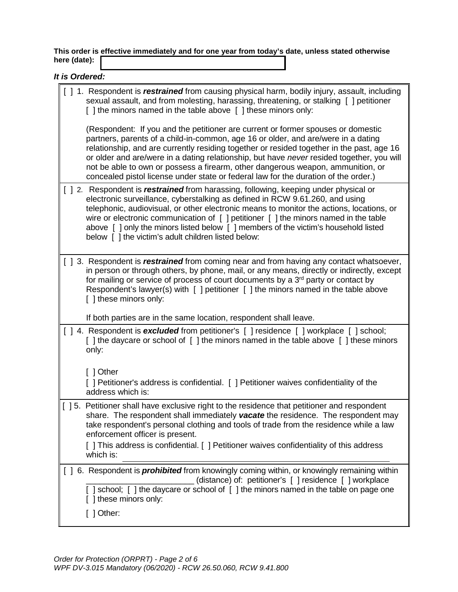**This order is effective immediately and for one year from today's date, unless stated otherwise here (date):**

|  |  |  |  | It is Ordered: |
|--|--|--|--|----------------|
|--|--|--|--|----------------|

| [ ] 1. Respondent is <i>restrained</i> from causing physical harm, bodily injury, assault, including<br>sexual assault, and from molesting, harassing, threatening, or stalking [ ] petitioner<br>[] the minors named in the table above [] these minors only:                                                                                                                                                                                                                                                                            |
|-------------------------------------------------------------------------------------------------------------------------------------------------------------------------------------------------------------------------------------------------------------------------------------------------------------------------------------------------------------------------------------------------------------------------------------------------------------------------------------------------------------------------------------------|
| (Respondent: If you and the petitioner are current or former spouses or domestic<br>partners, parents of a child-in-common, age 16 or older, and are/were in a dating<br>relationship, and are currently residing together or resided together in the past, age 16<br>or older and are/were in a dating relationship, but have never resided together, you will<br>not be able to own or possess a firearm, other dangerous weapon, ammunition, or<br>concealed pistol license under state or federal law for the duration of the order.) |
| [ ] 2. Respondent is <i>restrained</i> from harassing, following, keeping under physical or<br>electronic surveillance, cyberstalking as defined in RCW 9.61.260, and using<br>telephonic, audiovisual, or other electronic means to monitor the actions, locations, or<br>wire or electronic communication of [ ] petitioner [ ] the minors named in the table<br>above [] only the minors listed below [] members of the victim's household listed<br>below [] the victim's adult children listed below:                                |
| [ ] 3. Respondent is <i>restrained</i> from coming near and from having any contact whatsoever,<br>in person or through others, by phone, mail, or any means, directly or indirectly, except<br>for mailing or service of process of court documents by a 3 <sup>rd</sup> party or contact by<br>Respondent's lawyer(s) with [ ] petitioner [ ] the minors named in the table above<br>[ ] these minors only:                                                                                                                             |
| If both parties are in the same location, respondent shall leave.                                                                                                                                                                                                                                                                                                                                                                                                                                                                         |
| [] 4. Respondent is excluded from petitioner's [] residence [] workplace [] school;<br>[] the daycare or school of [] the minors named in the table above [] these minors<br>only:                                                                                                                                                                                                                                                                                                                                                        |
| [ ] Other                                                                                                                                                                                                                                                                                                                                                                                                                                                                                                                                 |
| [ ] Petitioner's address is confidential. [ ] Petitioner waives confidentiality of the<br>address which is:                                                                                                                                                                                                                                                                                                                                                                                                                               |
| [ ] 5. Petitioner shall have exclusive right to the residence that petitioner and respondent<br>share. The respondent shall immediately vacate the residence. The respondent may<br>take respondent's personal clothing and tools of trade from the residence while a law<br>enforcement officer is present.<br>[ ] This address is confidential. [ ] Petitioner waives confidentiality of this address                                                                                                                                   |
| which is:                                                                                                                                                                                                                                                                                                                                                                                                                                                                                                                                 |
| [ ] 6. Respondent is <i>prohibited</i> from knowingly coming within, or knowingly remaining within<br>(distance) of: petitioner's [ ] residence [ ] workplace                                                                                                                                                                                                                                                                                                                                                                             |
| [] school; [] the daycare or school of [] the minors named in the table on page one<br>[ ] these minors only:                                                                                                                                                                                                                                                                                                                                                                                                                             |
| [ ] Other:                                                                                                                                                                                                                                                                                                                                                                                                                                                                                                                                |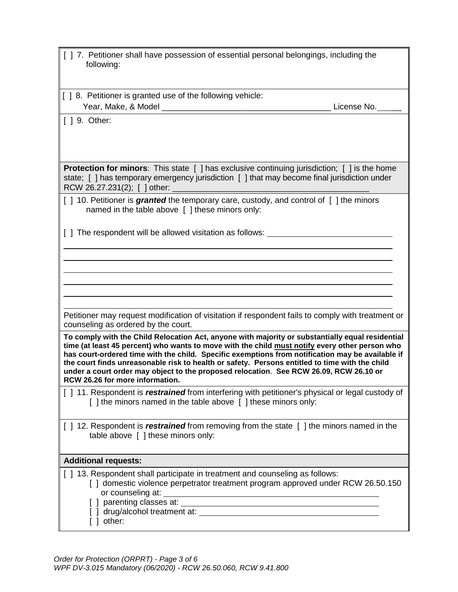| [ ] 7. Petitioner shall have possession of essential personal belongings, including the<br>following:                                                                                                                                                                                                                                                                                                                                                                                                                                 |  |  |
|---------------------------------------------------------------------------------------------------------------------------------------------------------------------------------------------------------------------------------------------------------------------------------------------------------------------------------------------------------------------------------------------------------------------------------------------------------------------------------------------------------------------------------------|--|--|
| [] 8. Petitioner is granted use of the following vehicle:                                                                                                                                                                                                                                                                                                                                                                                                                                                                             |  |  |
| License No.                                                                                                                                                                                                                                                                                                                                                                                                                                                                                                                           |  |  |
| $\lceil$ 1 9. Other:                                                                                                                                                                                                                                                                                                                                                                                                                                                                                                                  |  |  |
| <b>Protection for minors:</b> This state $\begin{bmatrix} 1 \end{bmatrix}$ has exclusive continuing jurisdiction; $\begin{bmatrix} 1 \end{bmatrix}$ is the home<br>state; [] has temporary emergency jurisdiction [] that may become final jurisdiction under<br>RCW 26.27.231(2); [ ] other:                                                                                                                                                                                                                                         |  |  |
| [] 10. Petitioner is <i>granted</i> the temporary care, custody, and control of [] the minors<br>named in the table above [ ] these minors only:                                                                                                                                                                                                                                                                                                                                                                                      |  |  |
| [ ] The respondent will be allowed visitation as follows: ______________________                                                                                                                                                                                                                                                                                                                                                                                                                                                      |  |  |
|                                                                                                                                                                                                                                                                                                                                                                                                                                                                                                                                       |  |  |
|                                                                                                                                                                                                                                                                                                                                                                                                                                                                                                                                       |  |  |
|                                                                                                                                                                                                                                                                                                                                                                                                                                                                                                                                       |  |  |
|                                                                                                                                                                                                                                                                                                                                                                                                                                                                                                                                       |  |  |
| Petitioner may request modification of visitation if respondent fails to comply with treatment or<br>counseling as ordered by the court.                                                                                                                                                                                                                                                                                                                                                                                              |  |  |
| To comply with the Child Relocation Act, anyone with majority or substantially equal residential<br>time (at least 45 percent) who wants to move with the child must notify every other person who<br>has court-ordered time with the child. Specific exemptions from notification may be available if<br>the court finds unreasonable risk to health or safety. Persons entitled to time with the child<br>under a court order may object to the proposed relocation. See RCW 26.09, RCW 26.10 or<br>RCW 26.26 for more information. |  |  |
| [ ] 11. Respondent is <i>restrained</i> from interfering with petitioner's physical or legal custody of<br>[ ] the minors named in the table above [ ] these minors only:                                                                                                                                                                                                                                                                                                                                                             |  |  |
| [] 12. Respondent is <i>restrained</i> from removing from the state [] the minors named in the<br>table above [ ] these minors only:                                                                                                                                                                                                                                                                                                                                                                                                  |  |  |
| <b>Additional requests:</b>                                                                                                                                                                                                                                                                                                                                                                                                                                                                                                           |  |  |
| [] 13. Respondent shall participate in treatment and counseling as follows:<br>[ ] domestic violence perpetrator treatment program approved under RCW 26.50.150<br>or counseling at:<br>[ ] parenting classes at:<br>[ ] other:                                                                                                                                                                                                                                                                                                       |  |  |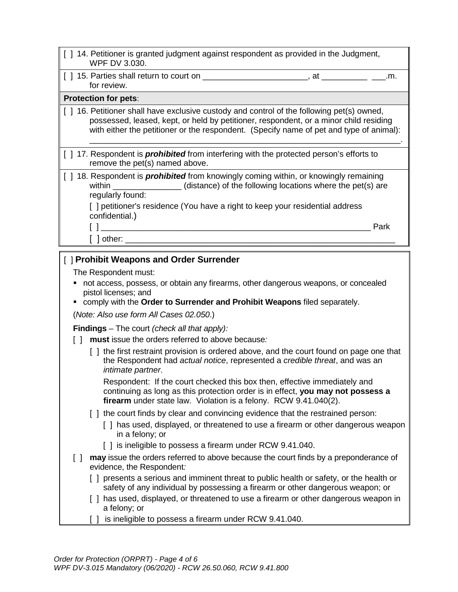- [ ] 14. Petitioner is granted judgment against respondent as provided in the Judgment, WPF DV 3.030.
- [ ] 15. Parties shall return to court on \_\_\_\_\_\_\_\_\_\_\_\_\_\_\_\_\_\_\_\_\_\_\_, at \_\_\_\_\_\_\_\_\_\_ \_\_\_.m. for review.

# **Protection for pets**:

[] 16. Petitioner shall have exclusive custody and control of the following pet(s) owned, possessed, leased, kept, or held by petitioner, respondent, or a minor child residing with either the petitioner or the respondent. (Specify name of pet and type of animal):

\_\_\_\_\_\_\_\_\_\_\_\_\_\_\_\_\_\_\_\_\_\_\_\_\_\_\_\_\_\_\_\_\_\_\_\_\_\_\_\_\_\_\_\_\_\_\_\_\_\_\_\_\_\_\_\_\_\_\_\_\_\_\_\_\_\_\_\_.

- [ ] 17. Respondent is *prohibited* from interfering with the protected person's efforts to remove the pet(s) named above.
- [ ] 18. Respondent is **prohibited** from knowingly coming within, or knowingly remaining within \_\_\_\_\_\_\_\_\_\_\_\_\_\_\_\_(distance) of the following locations where the pet(s) are regularly found:

[ ] petitioner's residence (You have a right to keep your residential address confidential.)

 $\begin{bmatrix} 1 \end{bmatrix}$ 

[ ] other: \_\_\_\_\_\_\_\_\_\_\_\_\_\_\_\_\_\_\_\_\_\_\_\_\_\_\_\_\_\_\_\_\_\_\_\_\_\_\_\_\_\_\_\_\_\_\_\_\_\_\_\_\_\_\_\_\_\_\_

# [ ] **Prohibit Weapons and Order Surrender**

The Respondent must:

- not access, possess, or obtain any firearms, other dangerous weapons, or concealed pistol licenses; and
- comply with the **Order to Surrender and Prohibit Weapons** filed separately.

(*Note: Also use form All Cases 02.050*.)

**Findings** – The court *(check all that apply):* 

- [ ] **must** issue the orders referred to above because*:*
	- [ ] the first restraint provision is ordered above, and the court found on page one that the Respondent had *actual notice*, represented a *credible threat*, and was an *intimate partner*.

Respondent: If the court checked this box then, effective immediately and continuing as long as this protection order is in effect, **you may not possess a firearm** under state law. Violation is a felony. RCW 9.41.040(2).

- [ ] the court finds by clear and convincing evidence that the restrained person:
	- [ ] has used, displayed, or threatened to use a firearm or other dangerous weapon in a felony; or
	- [ ] is ineligible to possess a firearm under RCW 9.41.040.
- [ ] **may** issue the orders referred to above because the court finds by a preponderance of evidence, the Respondent*:*
	- [ ] presents a serious and imminent threat to public health or safety, or the health or safety of any individual by possessing a firearm or other dangerous weapon; or
	- [ ] has used, displayed, or threatened to use a firearm or other dangerous weapon in a felony; or
	- [ ] is ineligible to possess a firearm under RCW 9.41.040.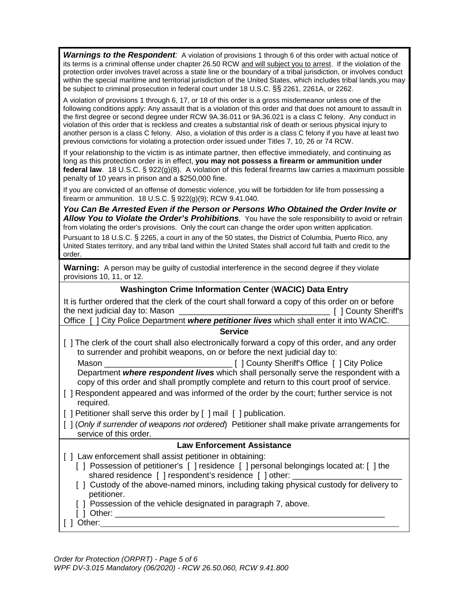*Warnings to the Respondent:* A violation of provisions 1 through 6 of this order with actual notice of its terms is a criminal offense under chapter 26.50 RCW and will subject you to arrest. If the violation of the protection order involves travel across a state line or the boundary of a tribal jurisdiction, or involves conduct within the special maritime and territorial jurisdiction of the United States, which includes tribal lands,you may be subject to criminal prosecution in federal court under 18 U.S.C. §§ 2261, 2261A, or 2262.

A violation of provisions 1 through 6, 17, or 18 of this order is a gross misdemeanor unless one of the following conditions apply: Any assault that is a violation of this order and that does not amount to assault in the first degree or second degree under RCW 9A.36.011 or 9A.36.021 is a class C felony. Any conduct in violation of this order that is reckless and creates a substantial risk of death or serious physical injury to another person is a class C felony. Also, a violation of this order is a class C felony if you have at least two previous convictions for violating a protection order issued under Titles 7, 10, 26 or 74 RCW.

If your relationship to the victim is as intimate partner, then effective immediately, and continuing as long as this protection order is in effect, **you may not possess a firearm or ammunition under federal law**. 18 U.S.C. § 922(g)(8). A violation of this federal firearms law carries a maximum possible penalty of 10 years in prison and a \$250,000 fine.

If you are convicted of an offense of domestic violence, you will be forbidden for life from possessing a firearm or ammunition. 18 U.S.C. § 922(g)(9); RCW 9.41.040.

*You Can Be Arrested Even if the Person or Persons Who Obtained the Order Invite or Allow You to Violate the Order's Prohibitions.* You have the sole responsibility to avoid or refrain from violating the order's provisions. Only the court can change the order upon written application. Pursuant to 18 U.S.C. § 2265, a court in any of the 50 states, the District of Columbia, Puerto Rico, any

United States territory, and any tribal land within the United States shall accord full faith and credit to the order.

**Warning:** A person may be guilty of custodial interference in the second degree if they violate provisions 10, 11, or 12.

# **Washington Crime Information Center** (**WACIC) Data Entry**

It is further ordered that the clerk of the court shall forward a copy of this order on or before the next judicial day to: Mason \_\_\_\_\_\_\_\_\_\_\_\_\_\_\_\_\_\_\_\_\_\_\_\_\_\_\_\_\_\_\_\_\_ [ ] County Sheriff's

Office [ ] City Police Department *where petitioner lives* which shall enter it into WACIC.

#### **Service**

[ ] The clerk of the court shall also electronically forward a copy of this order, and any order to surrender and prohibit weapons, on or before the next judicial day to:

 Mason \_\_\_\_\_\_\_\_\_\_\_\_\_\_\_\_\_\_\_\_\_\_\_\_\_\_\_\_ [ ] County Sheriff's Office [ ] City Police Department *where respondent lives* which shall personally serve the respondent with a copy of this order and shall promptly complete and return to this court proof of service.

[ ] Respondent appeared and was informed of the order by the court; further service is not required.

[ ] Petitioner shall serve this order by [ ] mail [ ] publication.

[ ] (*Only if surrender of weapons not ordered*) Petitioner shall make private arrangements for service of this order.

# **Law Enforcement Assistance**

- [ ] Law enforcement shall assist petitioner in obtaining:
	- [] Possession of petitioner's [] residence [] personal belongings located at: [] the shared residence [ ] respondent's residence [ ] other:
	- [ ] Custody of the above-named minors, including taking physical custody for delivery to petitioner.
	- [ ] Possession of the vehicle designated in paragraph 7, above.
	- $[ ]$  Other:  $\rule{1em}{0.15mm}$
- [ ] Other: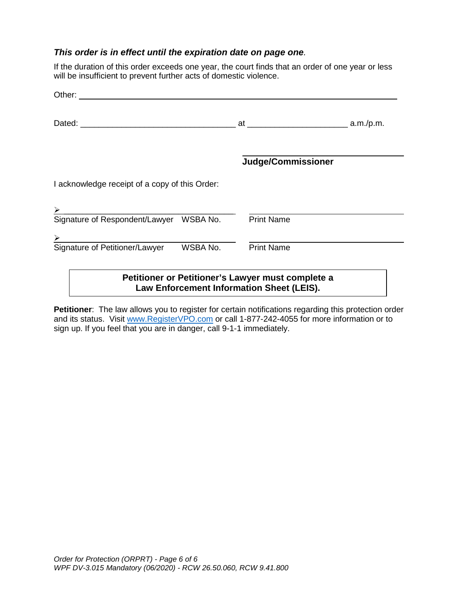# *This order is in effect until the expiration date on page one.*

If the duration of this order exceeds one year, the court finds that an order of one year or less will be insufficient to prevent further acts of domestic violence.

| Other: _________                               |          |                                                                                                |  |
|------------------------------------------------|----------|------------------------------------------------------------------------------------------------|--|
|                                                |          |                                                                                                |  |
|                                                |          | Judge/Commissioner                                                                             |  |
| I acknowledge receipt of a copy of this Order: |          |                                                                                                |  |
|                                                |          |                                                                                                |  |
| Signature of Respondent/Lawyer WSBA No.        |          | <b>Print Name</b>                                                                              |  |
| $\geq$                                         |          |                                                                                                |  |
| Signature of Petitioner/Lawyer                 | WSBA No. | <b>Print Name</b>                                                                              |  |
|                                                |          | Petitioner or Petitioner's Lawyer must complete a<br>Law Enforcement Information Sheet (LEIS). |  |

**Petitioner**: The law allows you to register for certain notifications regarding this protection order and its status. Visit [www.RegisterVPO.com](http://www.registervpo.com/) or call 1-877-242-4055 for more information or to sign up. If you feel that you are in danger, call 9-1-1 immediately.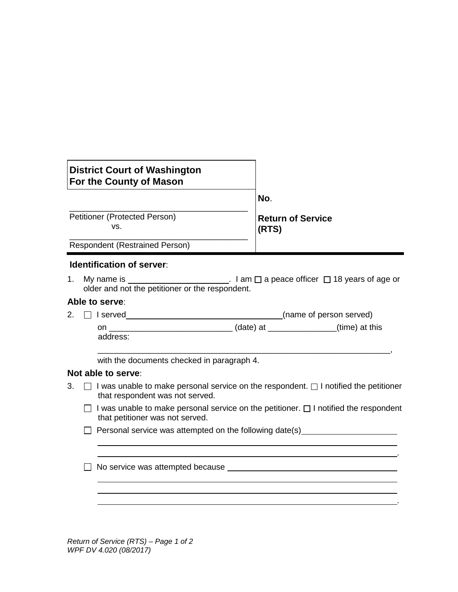| <b>District Court of Washington</b><br>For the County of Mason |                                   |
|----------------------------------------------------------------|-----------------------------------|
|                                                                | No.                               |
| Petitioner (Protected Person)<br>VS.                           | <b>Return of Service</b><br>(RTS) |
| <b>Respondent (Restrained Person)</b>                          |                                   |

#### **Identification of server**:

1. My name is  $\frac{1}{\sqrt{1-\frac{1}{n}}}$  am  $\Box$  a peace officer  $\Box$  18 years of age or older and not the petitioner or the respondent.

# **Able to serve**:

 $2. \Box$  I served  $\Box$ 

on \_\_\_\_\_\_\_\_\_\_\_\_\_\_\_\_\_\_\_\_\_\_\_\_\_\_\_ (date) at \_\_\_\_\_\_\_\_\_\_\_\_\_\_\_(time) at this address:

with the documents checked in paragraph 4.

# **Not able to serve**:

- 3.  $\Box$  I was unable to make personal service on the respondent.  $\Box$  I notified the petitioner that respondent was not served.
	- $\Box$  I was unable to make personal service on the petitioner.  $\Box$  I notified the respondent that petitioner was not served.

.

.

\_\_\_\_\_\_\_\_\_\_\_\_\_\_\_\_\_\_\_\_\_\_\_\_\_\_\_\_\_\_\_\_\_\_\_\_\_\_\_\_\_\_\_\_\_\_\_\_\_\_\_\_\_\_\_\_\_\_\_\_\_\_\_\_,

 $\Box$  Personal service was attempted on the following date(s)

□ No service was attempted because

*Return of Service (RTS) – Page 1 of 2 WPF DV 4.020 (08/2017)*